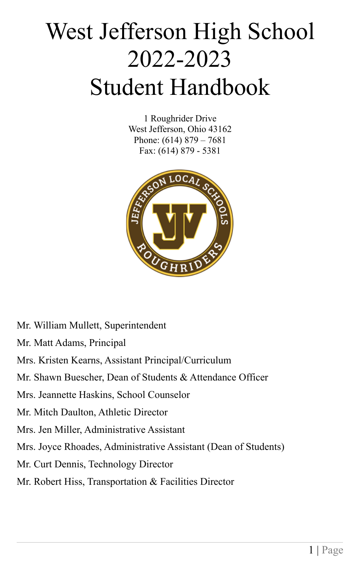# West Jefferson High School 2022-2023 Student Handbook

1 Roughrider Drive West Jefferson, Ohio 43162 Phone: (614) 879 – 7681 Fax: (614) 879 - 5381



Mr. William Mullett, Superintendent Mr. Matt Adams, Principal Mrs. Kristen Kearns, Assistant Principal/Curriculum Mr. Shawn Buescher, Dean of Students & Attendance Officer Mrs. Jeannette Haskins, School Counselor Mr. Mitch Daulton, Athletic Director Mrs. Jen Miller, Administrative Assistant Mrs. Joyce Rhoades, Administrative Assistant (Dean of Students) Mr. Curt Dennis, Technology Director Mr. Robert Hiss, Transportation & Facilities Director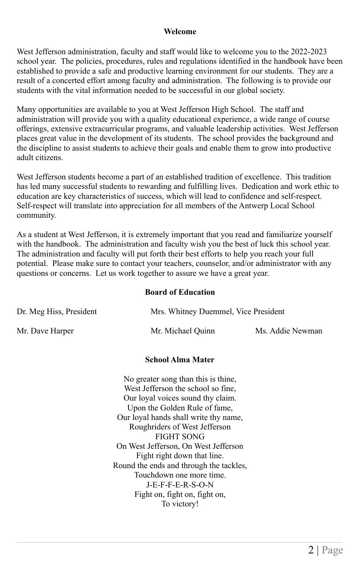#### **Welcome**

West Jefferson administration, faculty and staff would like to welcome you to the 2022-2023 school year. The policies, procedures, rules and regulations identified in the handbook have been established to provide a safe and productive learning environment for our students. They are a result of a concerted effort among faculty and administration. The following is to provide our students with the vital information needed to be successful in our global society.

Many opportunities are available to you at West Jefferson High School. The staff and administration will provide you with a quality educational experience, a wide range of course offerings, extensive extracurricular programs, and valuable leadership activities. West Jefferson places great value in the development of its students. The school provides the background and the discipline to assist students to achieve their goals and enable them to grow into productive adult citizens.

West Jefferson students become a part of an established tradition of excellence. This tradition has led many successful students to rewarding and fulfilling lives. Dedication and work ethic to education are key characteristics of success, which will lead to confidence and self-respect. Self-respect will translate into appreciation for all members of the Antwerp Local School community.

As a student at West Jefferson, it is extremely important that you read and familiarize yourself with the handbook. The administration and faculty wish you the best of luck this school year. The administration and faculty will put forth their best efforts to help you reach your full potential. Please make sure to contact your teachers, counselor, and/or administrator with any questions or concerns. Let us work together to assure we have a great year.

#### **Board of Education**

| Dr. Meg Hiss, President | Mrs. Whitney Duemmel, Vice President |                  |
|-------------------------|--------------------------------------|------------------|
| Mr. Dave Harper         | Mr. Michael Quinn                    | Ms. Addie Newman |

#### **School Alma Mater**

No greater song than this is thine, West Jefferson the school so fine. Our loyal voices sound thy claim. Upon the Golden Rule of fame, Our loyal hands shall write thy name, Roughriders of West Jefferson FIGHT SONG On West Jefferson, On West Jefferson Fight right down that line. Round the ends and through the tackles, Touchdown one more time. J-E-F-F-E-R-S-O-N Fight on, fight on, fight on, To victory!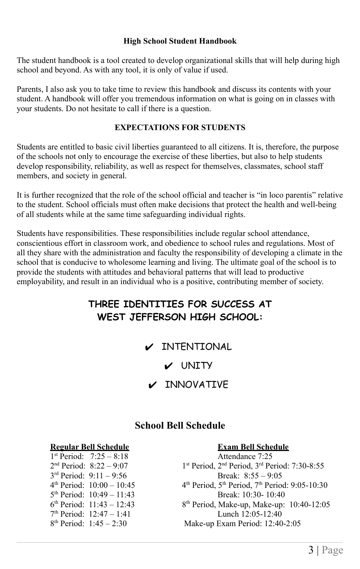#### **High School Student Handbook**

The student handbook is a tool created to develop organizational skills that will help during high school and beyond. As with any tool, it is only of value if used.

Parents, I also ask you to take time to review this handbook and discuss its contents with your student. A handbook will offer you tremendous information on what is going on in classes with your students. Do not hesitate to call if there is a question.

#### **EXPECTATIONS FOR STUDENTS**

Students are entitled to basic civil liberties guaranteed to all citizens. It is, therefore, the purpose of the schools not only to encourage the exercise of these liberties, but also to help students develop responsibility, reliability, as well as respect for themselves, classmates, school staff members, and society in general.

It is further recognized that the role of the school official and teacher is "in loco parentis" relative to the student. School officials must often make decisions that protect the health and well-being of all students while at the same time safeguarding individual rights.

Students have responsibilities. These responsibilities include regular school attendance, conscientious effort in classroom work, and obedience to school rules and regulations. Most of all they share with the administration and faculty the responsibility of developing a climate in the school that is conducive to wholesome learning and living. The ultimate goal of the school is to provide the students with attitudes and behavioral patterns that will lead to productive employability, and result in an individual who is a positive, contributing member of society.

### **THREE IDENTITIES FOR SUCCESS AT WEST JEFFERSON HIGH SCHOOL:**

 $\nu$  INTENTIONAL

✔ UNITY

 $\nu$  INNOVATIVE

#### **School Bell Schedule**

### **Regular Bell Schedule Exam Bell Schedule**

1 st Period: 7:25 – 8:18 Attendance 7:25  $2<sup>nd</sup> Period: 8:22 - 9:07$  1<sup>s</sup>  $4^{\text{th}}$  Period:  $10:00 - 10:45$  4<sup>t</sup>  $6<sup>th</sup> Period: 11:43 - 12:43$  8<sup>t</sup>  $8^{th}$  Period:  $1.45 - 2.30$ 

st Period, 2<sup>nd</sup> Period, 3<sup>rd</sup> Period: 7:30-8:55 3<sup>rd</sup> Period: 9:11 – 9:56 Break: 8:55 – 9:05 th Period,  $5<sup>th</sup>$  Period,  $7<sup>th</sup>$  Period: 9:05-10:30 5 th Period: 10:49 – 11:43 Break: 10:30- 10:40 8<sup>th</sup> Period, Make-up, Make-up: 10:40-12:05 7 th Period: 12:47 – 1:41 Lunch 12:05-12:40 Make-up Exam Period: 12:40-2:05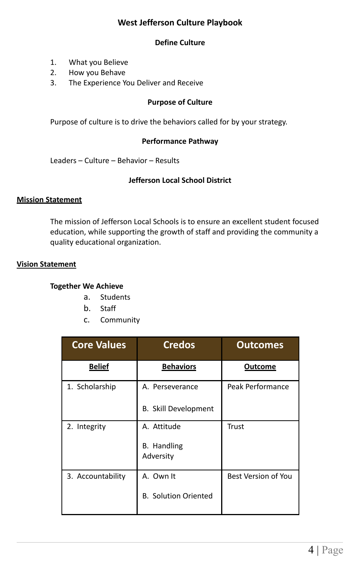#### **West Jefferson Culture Playbook**

#### **Define Culture**

- 1. What you Believe
- 2. How you Behave
- 3. The Experience You Deliver and Receive

#### **Purpose of Culture**

Purpose of culture is to drive the behaviors called for by your strategy.

#### **Performance Pathway**

Leaders – Culture – Behavior – Results

#### **Jefferson Local School District**

#### **Mission Statement**

The mission of Jefferson Local Schools is to ensure an excellent student focused education, while supporting the growth of staff and providing the community a quality educational organization.

#### **Vision Statement**

#### **Together We Achieve**

- a. Students
- b. Staff
- c. Community

| <b>Core Values</b> | <b>Credos</b>                   | <b>Outcomes</b>            |
|--------------------|---------------------------------|----------------------------|
| <b>Belief</b>      | <b>Behaviors</b>                | Outcome                    |
| 1. Scholarship     | A. Perseverance                 | Peak Performance           |
|                    | <b>B.</b> Skill Development     |                            |
| 2. Integrity       | A. Attitude                     | Trust                      |
|                    | <b>B.</b> Handling<br>Adversity |                            |
| 3. Accountability  | A. Own It                       | <b>Best Version of You</b> |
|                    | <b>B. Solution Oriented</b>     |                            |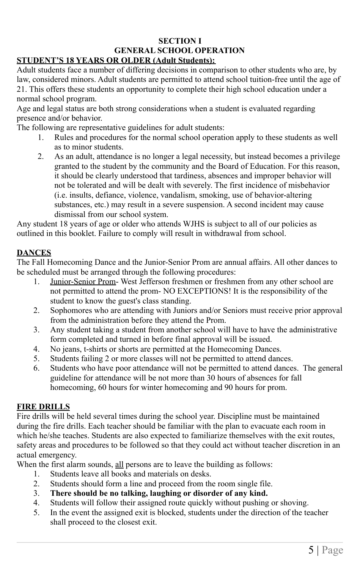#### **SECTION I GENERAL SCHOOL OPERATION**

#### **STUDENT'S 18 YEARS OR OLDER (Adult Students):**

Adult students face a number of differing decisions in comparison to other students who are, by law, considered minors. Adult students are permitted to attend school tuition-free until the age of 21. This offers these students an opportunity to complete their high school education under a normal school program.

Age and legal status are both strong considerations when a student is evaluated regarding presence and/or behavior.

The following are representative guidelines for adult students:

- 1. Rules and procedures for the normal school operation apply to these students as well as to minor students.
- 2. As an adult, attendance is no longer a legal necessity, but instead becomes a privilege granted to the student by the community and the Board of Education. For this reason, it should be clearly understood that tardiness, absences and improper behavior will not be tolerated and will be dealt with severely. The first incidence of misbehavior (i.e. insults, defiance, violence, vandalism, smoking, use of behavior-altering substances, etc.) may result in a severe suspension. A second incident may cause dismissal from our school system.

Any student 18 years of age or older who attends WJHS is subject to all of our policies as outlined in this booklet. Failure to comply will result in withdrawal from school.

#### **DANCES**

The Fall Homecoming Dance and the Junior-Senior Prom are annual affairs. All other dances to be scheduled must be arranged through the following procedures:

- 1. Junior-Senior Prom- West Jefferson freshmen or freshmen from any other school are not permitted to attend the prom- NO EXCEPTIONS! It is the responsibility of the student to know the guest's class standing.
- 2. Sophomores who are attending with Juniors and/or Seniors must receive prior approval from the administration before they attend the Prom.
- 3. Any student taking a student from another school will have to have the administrative form completed and turned in before final approval will be issued.
- 4. No jeans, t-shirts or shorts are permitted at the Homecoming Dances.
- 5. Students failing 2 or more classes will not be permitted to attend dances.
- 6. Students who have poor attendance will not be permitted to attend dances. The general guideline for attendance will be not more than 30 hours of absences for fall homecoming, 60 hours for winter homecoming and 90 hours for prom.

#### **FIRE DRILLS**

Fire drills will be held several times during the school year. Discipline must be maintained during the fire drills. Each teacher should be familiar with the plan to evacuate each room in which he/she teaches. Students are also expected to familiarize themselves with the exit routes, safety areas and procedures to be followed so that they could act without teacher discretion in an actual emergency.

When the first alarm sounds, all persons are to leave the building as follows:

- 1. Students leave all books and materials on desks.
- 2. Students should form a line and proceed from the room single file.
- 3. **There should be no talking, laughing or disorder of any kind.**
- 4. Students will follow their assigned route quickly without pushing or shoving.
- 5. In the event the assigned exit is blocked, students under the direction of the teacher shall proceed to the closest exit.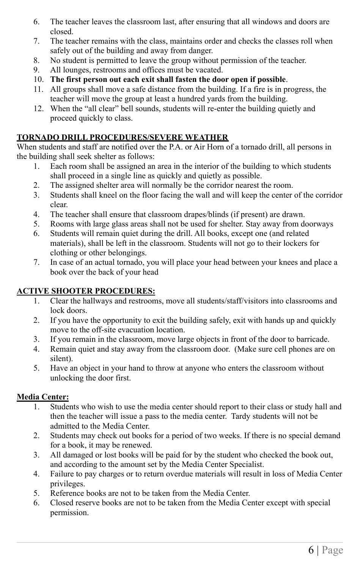- 6. The teacher leaves the classroom last, after ensuring that all windows and doors are closed.
- 7. The teacher remains with the class, maintains order and checks the classes roll when safely out of the building and away from danger.
- 8. No student is permitted to leave the group without permission of the teacher.
- 9. All lounges, restrooms and offices must be vacated.
- 10. **The first person out each exit shall fasten the door open if possible**.
- 11. All groups shall move a safe distance from the building. If a fire is in progress, the teacher will move the group at least a hundred yards from the building.
- 12. When the "all clear" bell sounds, students will re-enter the building quietly and proceed quickly to class.

#### **TORNADO DRILL PROCEDURES/SEVERE WEATHER**

When students and staff are notified over the P.A. or Air Horn of a tornado drill, all persons in the building shall seek shelter as follows:

- 1. Each room shall be assigned an area in the interior of the building to which students shall proceed in a single line as quickly and quietly as possible.
- 2. The assigned shelter area will normally be the corridor nearest the room.
- 3. Students shall kneel on the floor facing the wall and will keep the center of the corridor clear.
- 4. The teacher shall ensure that classroom drapes/blinds (if present) are drawn.
- 5. Rooms with large glass areas shall not be used for shelter. Stay away from doorways
- 6. Students will remain quiet during the drill. All books, except one (and related materials), shall be left in the classroom. Students will not go to their lockers for clothing or other belongings.
- 7. In case of an actual tornado, you will place your head between your knees and place a book over the back of your head

#### **ACTIVE SHOOTER PROCEDURES:**

- 1. Clear the hallways and restrooms, move all students/staff/visitors into classrooms and lock doors.
- 2. If you have the opportunity to exit the building safely, exit with hands up and quickly move to the off-site evacuation location.
- 3. If you remain in the classroom, move large objects in front of the door to barricade.
- 4. Remain quiet and stay away from the classroom door. (Make sure cell phones are on silent).
- 5. Have an object in your hand to throw at anyone who enters the classroom without unlocking the door first.

#### **Media Center:**

- 1. Students who wish to use the media center should report to their class or study hall and then the teacher will issue a pass to the media center. Tardy students will not be admitted to the Media Center.
- 2. Students may check out books for a period of two weeks. If there is no special demand for a book, it may be renewed.
- 3. All damaged or lost books will be paid for by the student who checked the book out, and according to the amount set by the Media Center Specialist.
- 4. Failure to pay charges or to return overdue materials will result in loss of Media Center privileges.
- 5. Reference books are not to be taken from the Media Center.
- 6. Closed reserve books are not to be taken from the Media Center except with special permission.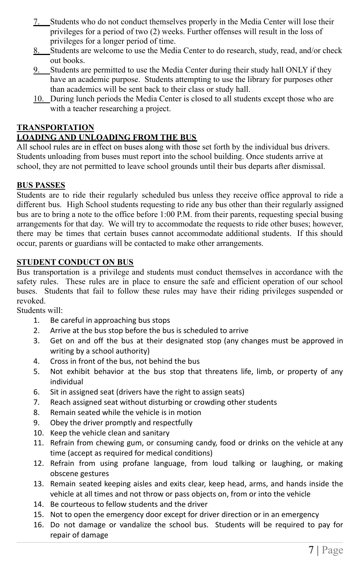- 7. Students who do not conduct themselves properly in the Media Center will lose their privileges for a period of two (2) weeks. Further offenses will result in the loss of privileges for a longer period of time.
- 8. Students are welcome to use the Media Center to do research, study, read, and/or check out books.
- 9. Students are permitted to use the Media Center during their study hall ONLY if they have an academic purpose. Students attempting to use the library for purposes other than academics will be sent back to their class or study hall.
- 10. During lunch periods the Media Center is closed to all students except those who are with a teacher researching a project.

#### **TRANSPORTATION**

#### **LOADING AND UNLOADING FROM THE BUS**

All school rules are in effect on buses along with those set forth by the individual bus drivers. Students unloading from buses must report into the school building. Once students arrive at school, they are not permitted to leave school grounds until their bus departs after dismissal.

#### **BUS PASSES**

Students are to ride their regularly scheduled bus unless they receive office approval to ride a different bus. High School students requesting to ride any bus other than their regularly assigned bus are to bring a note to the office before 1:00 P.M. from their parents, requesting special busing arrangements for that day. We will try to accommodate the requests to ride other buses; however, there may be times that certain buses cannot accommodate additional students. If this should occur, parents or guardians will be contacted to make other arrangements.

#### **STUDENT CONDUCT ON BUS**

Bus transportation is a privilege and students must conduct themselves in accordance with the safety rules. These rules are in place to ensure the safe and efficient operation of our school buses. Students that fail to follow these rules may have their riding privileges suspended or revoked.

Students will:

- 1. Be careful in approaching bus stops
- 2. Arrive at the bus stop before the bus is scheduled to arrive
- 3. Get on and off the bus at their designated stop (any changes must be approved in writing by a school authority)
- 4. Cross in front of the bus, not behind the bus
- 5. Not exhibit behavior at the bus stop that threatens life, limb, or property of any individual
- 6. Sit in assigned seat (drivers have the right to assign seats)
- 7. Reach assigned seat without disturbing or crowding other students
- 8. Remain seated while the vehicle is in motion
- 9. Obey the driver promptly and respectfully
- 10. Keep the vehicle clean and sanitary
- 11. Refrain from chewing gum, or consuming candy, food or drinks on the vehicle at any time (accept as required for medical conditions)
- 12. Refrain from using profane language, from loud talking or laughing, or making obscene gestures
- 13. Remain seated keeping aisles and exits clear, keep head, arms, and hands inside the vehicle at all times and not throw or pass objects on, from or into the vehicle
- 14. Be courteous to fellow students and the driver
- 15. Not to open the emergency door except for driver direction or in an emergency
- 16. Do not damage or vandalize the school bus. Students will be required to pay for repair of damage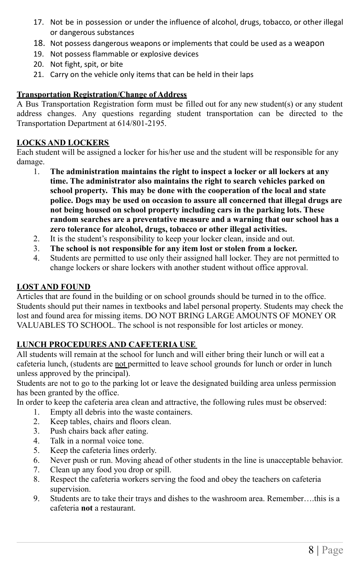- 17. Not be in possession or under the influence of alcohol, drugs, tobacco, or other illegal or dangerous substances
- 18. Not possess dangerous weapons or implements that could be used as a weapon
- 19. Not possess flammable or explosive devices
- 20. Not fight, spit, or bite
- 21. Carry on the vehicle only items that can be held in their laps

#### **Transportation Registration/Change of Address**

A Bus Transportation Registration form must be filled out for any new student(s) or any student address changes. Any questions regarding student transportation can be directed to the Transportation Department at 614/801-2195.

#### **LOCKS AND LOCKERS**

Each student will be assigned a locker for his/her use and the student will be responsible for any damage.

- 1. **The administration maintains the right to inspect a locker or all lockers at any time. The administrator also maintains the right to search vehicles parked on school property. This may be done with the cooperation of the local and state police. Dogs may be used on occasion to assure all concerned that illegal drugs are not being housed on school property including cars in the parking lots. These random searches are a preventative measure and a warning that our school has a zero tolerance for alcohol, drugs, tobacco or other illegal activities.**
- 2. It is the student's responsibility to keep your locker clean, inside and out.
- 3. **The school is not responsible for any item lost or stolen from a locker.**
- 4. Students are permitted to use only their assigned hall locker. They are not permitted to change lockers or share lockers with another student without office approval.

#### **LOST AND FOUND**

Articles that are found in the building or on school grounds should be turned in to the office. Students should put their names in textbooks and label personal property. Students may check the lost and found area for missing items. DO NOT BRING LARGE AMOUNTS OF MONEY OR VALUABLES TO SCHOOL. The school is not responsible for lost articles or money.

#### **LUNCH PROCEDURES AND CAFETERIA USE**

All students will remain at the school for lunch and will either bring their lunch or will eat a cafeteria lunch, (students are not permitted to leave school grounds for lunch or order in lunch unless approved by the principal).

Students are not to go to the parking lot or leave the designated building area unless permission has been granted by the office.

In order to keep the cafeteria area clean and attractive, the following rules must be observed:

- 1. Empty all debris into the waste containers.
- 2. Keep tables, chairs and floors clean.
- 3. Push chairs back after eating.
- 4. Talk in a normal voice tone.
- 5. Keep the cafeteria lines orderly.
- 6. Never push or run. Moving ahead of other students in the line is unacceptable behavior.
- 7. Clean up any food you drop or spill.
- 8. Respect the cafeteria workers serving the food and obey the teachers on cafeteria supervision.
- 9. Students are to take their trays and dishes to the washroom area. Remember….this is a cafeteria **not** a restaurant.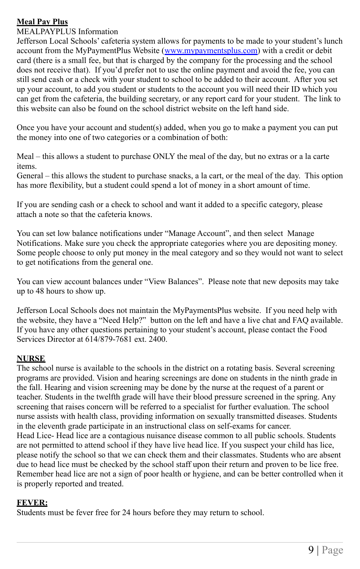#### **Meal Pay Plus**

MEALPAYPLUS Information

Jefferson Local Schools' cafeteria system allows for payments to be made to your student's lunch account from the MyPaymentPlus Website ([www.mypaymentsplus.com\)](http://www.mypaymentsplus.com) with a credit or debit card (there is a small fee, but that is charged by the company for the processing and the school does not receive that). If you'd prefer not to use the online payment and avoid the fee, you can still send cash or a check with your student to school to be added to their account. After you set up your account, to add you student or students to the account you will need their ID which you can get from the cafeteria, the building secretary, or any report card for your student. The link to this website can also be found on the school district website on the left hand side.

Once you have your account and student(s) added, when you go to make a payment you can put the money into one of two categories or a combination of both:

Meal – this allows a student to purchase ONLY the meal of the day, but no extras or a la carte items.

General – this allows the student to purchase snacks, a la cart, or the meal of the day. This option has more flexibility, but a student could spend a lot of money in a short amount of time.

If you are sending cash or a check to school and want it added to a specific category, please attach a note so that the cafeteria knows.

You can set low balance notifications under "Manage Account", and then select Manage Notifications. Make sure you check the appropriate categories where you are depositing money. Some people choose to only put money in the meal category and so they would not want to select to get notifications from the general one.

You can view account balances under "View Balances". Please note that new deposits may take up to 48 hours to show up.

Jefferson Local Schools does not maintain the MyPaymentsPlus website. If you need help with the website, they have a "Need Help?" button on the left and have a live chat and FAQ available. If you have any other questions pertaining to your student's account, please contact the Food Services Director at 614/879-7681 ext. 2400.

#### **NURSE**

The school nurse is available to the schools in the district on a rotating basis. Several screening programs are provided. Vision and hearing screenings are done on students in the ninth grade in the fall. Hearing and vision screening may be done by the nurse at the request of a parent or teacher. Students in the twelfth grade will have their blood pressure screened in the spring. Any screening that raises concern will be referred to a specialist for further evaluation. The school nurse assists with health class, providing information on sexually transmitted diseases. Students in the eleventh grade participate in an instructional class on self-exams for cancer. Head Lice- Head lice are a contagious nuisance disease common to all public schools. Students are not permitted to attend school if they have live head lice. If you suspect your child has lice, please notify the school so that we can check them and their classmates. Students who are absent due to head lice must be checked by the school staff upon their return and proven to be lice free. Remember head lice are not a sign of poor health or hygiene, and can be better controlled when it is properly reported and treated.

#### **FEVER:**

Students must be fever free for 24 hours before they may return to school.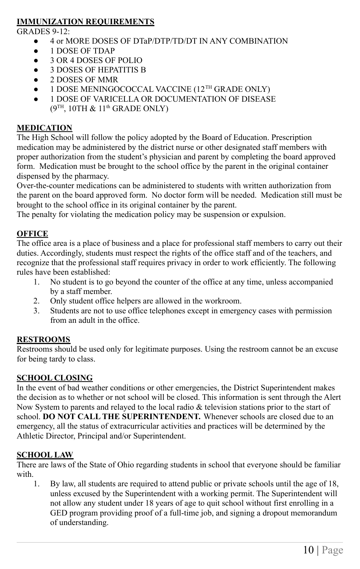#### **IMMUNIZATION REQUIREMENTS**

 $GRADES 9-12$ 

- 4 or MORE DOSES OF DTaP/DTP/TD/DT IN ANY COMBINATION
- 1 DOSE OF TDAP
- 3 OR 4 DOSES OF POLIO
- 3 DOSES OF HEPATITIS B
- 2 DOSES OF MMR
- $\bullet$  1 DOSE MENINGOCOCCAL VACCINE (12<sup>TH</sup> GRADE ONLY)
- 1 DOSE OF VARICELLA OR DOCUMENTATION OF DISEASE  $(9^{TH}, 10TH \& 11<sup>th</sup>$  GRADE ONLY)

#### **MEDICATION**

The High School will follow the policy adopted by the Board of Education. Prescription medication may be administered by the district nurse or other designated staff members with proper authorization from the student's physician and parent by completing the board approved form. Medication must be brought to the school office by the parent in the original container dispensed by the pharmacy.

Over-the-counter medications can be administered to students with written authorization from the parent on the board approved form. No doctor form will be needed. Medication still must be brought to the school office in its original container by the parent.

The penalty for violating the medication policy may be suspension or expulsion.

#### **OFFICE**

The office area is a place of business and a place for professional staff members to carry out their duties. Accordingly, students must respect the rights of the office staff and of the teachers, and recognize that the professional staff requires privacy in order to work efficiently. The following rules have been established:

- 1. No student is to go beyond the counter of the office at any time, unless accompanied by a staff member.
- 2. Only student office helpers are allowed in the workroom.
- 3. Students are not to use office telephones except in emergency cases with permission from an adult in the office.

#### **RESTROOMS**

Restrooms should be used only for legitimate purposes. Using the restroom cannot be an excuse for being tardy to class.

#### **SCHOOL CLOSING**

In the event of bad weather conditions or other emergencies, the District Superintendent makes the decision as to whether or not school will be closed. This information is sent through the Alert Now System to parents and relayed to the local radio  $\&$  television stations prior to the start of school. **DO NOT CALL THE SUPERINTENDENT.** Whenever schools are closed due to an emergency, all the status of extracurricular activities and practices will be determined by the Athletic Director, Principal and/or Superintendent.

#### **SCHOOL LAW**

There are laws of the State of Ohio regarding students in school that everyone should be familiar with.

1. By law, all students are required to attend public or private schools until the age of 18, unless excused by the Superintendent with a working permit. The Superintendent will not allow any student under 18 years of age to quit school without first enrolling in a GED program providing proof of a full-time job, and signing a dropout memorandum of understanding.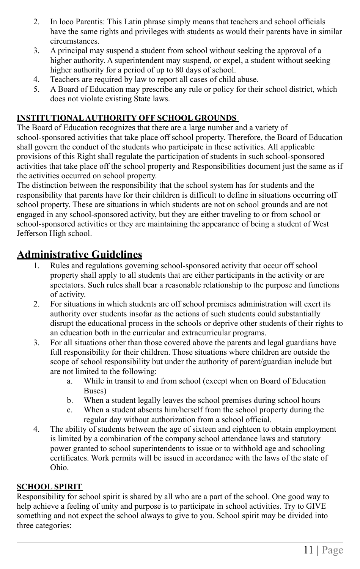- 2. In loco Parentis: This Latin phrase simply means that teachers and school officials have the same rights and privileges with students as would their parents have in similar circumstances.
- 3. A principal may suspend a student from school without seeking the approval of a higher authority. A superintendent may suspend, or expel, a student without seeking higher authority for a period of up to 80 days of school.
- 4. Teachers are required by law to report all cases of child abuse.
- 5. A Board of Education may prescribe any rule or policy for their school district, which does not violate existing State laws.

#### **INSTITUTIONAL AUTHORITY OFF SCHOOL GROUNDS**

The Board of Education recognizes that there are a large number and a variety of school-sponsored activities that take place off school property. Therefore, the Board of Education shall govern the conduct of the students who participate in these activities. All applicable provisions of this Right shall regulate the participation of students in such school-sponsored activities that take place off the school property and Responsibilities document just the same as if the activities occurred on school property.

The distinction between the responsibility that the school system has for students and the responsibility that parents have for their children is difficult to define in situations occurring off school property. These are situations in which students are not on school grounds and are not engaged in any school-sponsored activity, but they are either traveling to or from school or school-sponsored activities or they are maintaining the appearance of being a student of West Jefferson High school.

#### **Administrative Guidelines**

- 1. Rules and regulations governing school-sponsored activity that occur off school property shall apply to all students that are either participants in the activity or are spectators. Such rules shall bear a reasonable relationship to the purpose and functions of activity.
- 2. For situations in which students are off school premises administration will exert its authority over students insofar as the actions of such students could substantially disrupt the educational process in the schools or deprive other students of their rights to an education both in the curricular and extracurricular programs.
- 3. For all situations other than those covered above the parents and legal guardians have full responsibility for their children. Those situations where children are outside the scope of school responsibility but under the authority of parent/guardian include but are not limited to the following:
	- a. While in transit to and from school (except when on Board of Education Buses)
	- b. When a student legally leaves the school premises during school hours
	- c. When a student absents him/herself from the school property during the regular day without authorization from a school official.
- 4. The ability of students between the age of sixteen and eighteen to obtain employment is limited by a combination of the company school attendance laws and statutory power granted to school superintendents to issue or to withhold age and schooling certificates. Work permits will be issued in accordance with the laws of the state of Ohio.

#### **SCHOOL SPIRIT**

Responsibility for school spirit is shared by all who are a part of the school. One good way to help achieve a feeling of unity and purpose is to participate in school activities. Try to GIVE something and not expect the school always to give to you. School spirit may be divided into three categories: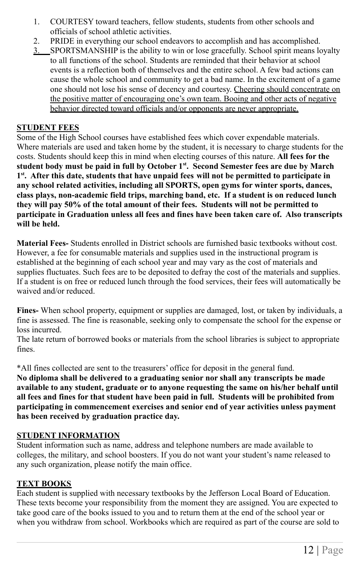- 1. COURTESY toward teachers, fellow students, students from other schools and officials of school athletic activities.
- 2. PRIDE in everything our school endeavors to accomplish and has accomplished.
- 3. SPORTSMANSHIP is the ability to win or lose gracefully. School spirit means loyalty to all functions of the school. Students are reminded that their behavior at school events is a reflection both of themselves and the entire school. A few bad actions can cause the whole school and community to get a bad name. In the excitement of a game one should not lose his sense of decency and courtesy. Cheering should concentrate on the positive matter of encouraging one's own team. Booing and other acts of negative behavior directed toward officials and/or opponents are never appropriate.

#### **STUDENT FEES**

Some of the High School courses have established fees which cover expendable materials. Where materials are used and taken home by the student, it is necessary to charge students for the costs. Students should keep this in mind when electing courses of this nature. **All fees for the student body must be paid in full by October 1st . Second Semester fees are due by March 1 st . After this date, students that have unpaid fees will not be permitted to participate in any school related activities, including all SPORTS, open gyms for winter sports, dances, class plays, non-academic field trips, marching band, etc. If a student is on reduced lunch they will pay 50% of the total amount of their fees. Students will not be permitted to participate in Graduation unless all fees and fines have been taken care of. Also transcripts will be held.**

**Material Fees-** Students enrolled in District schools are furnished basic textbooks without cost. However, a fee for consumable materials and supplies used in the instructional program is established at the beginning of each school year and may vary as the cost of materials and supplies fluctuates. Such fees are to be deposited to defray the cost of the materials and supplies. If a student is on free or reduced lunch through the food services, their fees will automatically be waived and/or reduced.

**Fines-** When school property, equipment or supplies are damaged, lost, or taken by individuals, a fine is assessed. The fine is reasonable, seeking only to compensate the school for the expense or loss incurred.

The late return of borrowed books or materials from the school libraries is subject to appropriate fines.

\*All fines collected are sent to the treasurers' office for deposit in the general fund.

**No diploma shall be delivered to a graduating senior nor shall any transcripts be made available to any student, graduate or to anyone requesting the same on his/her behalf until all fees and fines for that student have been paid in full. Students will be prohibited from participating in commencement exercises and senior end of year activities unless payment has been received by graduation practice day.**

#### **STUDENT INFORMATION**

Student information such as name, address and telephone numbers are made available to colleges, the military, and school boosters. If you do not want your student's name released to any such organization, please notify the main office.

#### **TEXT BOOKS**

Each student is supplied with necessary textbooks by the Jefferson Local Board of Education. These texts become your responsibility from the moment they are assigned. You are expected to take good care of the books issued to you and to return them at the end of the school year or when you withdraw from school. Workbooks which are required as part of the course are sold to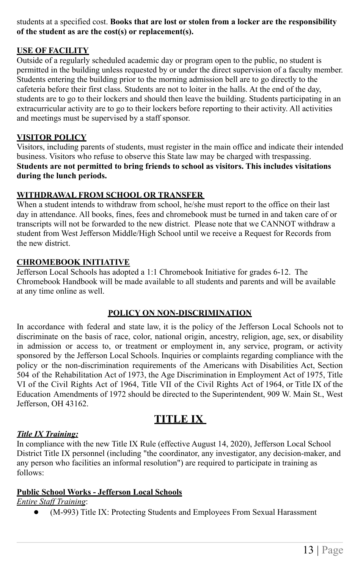students at a specified cost. **Books that are lost or stolen from a locker are the responsibility of the student as are the cost(s) or replacement(s).**

#### **USE OF FACILITY**

Outside of a regularly scheduled academic day or program open to the public, no student is permitted in the building unless requested by or under the direct supervision of a faculty member. Students entering the building prior to the morning admission bell are to go directly to the cafeteria before their first class. Students are not to loiter in the halls. At the end of the day, students are to go to their lockers and should then leave the building. Students participating in an extracurricular activity are to go to their lockers before reporting to their activity. All activities and meetings must be supervised by a staff sponsor.

#### **VISITOR POLICY**

Visitors, including parents of students, must register in the main office and indicate their intended business. Visitors who refuse to observe this State law may be charged with trespassing. **Students are not permitted to bring friends to school as visitors. This includes visitations during the lunch periods.**

#### **WITHDRAWAL FROM SCHOOL OR TRANSFER**

When a student intends to withdraw from school, he/she must report to the office on their last day in attendance. All books, fines, fees and chromebook must be turned in and taken care of or transcripts will not be forwarded to the new district. Please note that we CANNOT withdraw a student from West Jefferson Middle/High School until we receive a Request for Records from the new district.

#### **CHROMEBOOK INITIATIVE**

Jefferson Local Schools has adopted a 1:1 Chromebook Initiative for grades 6-12. The Chromebook Handbook will be made available to all students and parents and will be available at any time online as well.

#### **POLICY ON NON-DISCRIMINATION**

In accordance with federal and state law, it is the policy of the Jefferson Local Schools not to discriminate on the basis of race, color, national origin, ancestry, religion, age, sex, or disability in admission or access to, or treatment or employment in, any service, program, or activity sponsored by the Jefferson Local Schools. Inquiries or complaints regarding compliance with the policy or the non-discrimination requirements of the Americans with Disabilities Act, Section 504 of the Rehabilitation Act of 1973, the Age Discrimination in Employment Act of 1975, Title VI of the Civil Rights Act of 1964, Title VII of the Civil Rights Act of 1964, or Title IX of the Education Amendments of 1972 should be directed to the Superintendent, 909 W. Main St., West Jefferson, OH 43162.

### **TITLE IX**

#### *Title IX Training:*

In compliance with the new Title IX Rule (effective August 14, 2020), Jefferson Local School District Title IX personnel (including "the coordinator, any investigator, any decision-maker, and any person who facilities an informal resolution") are required to participate in training as follows:

#### **Public School Works - Jefferson Local Schools**

*Entire Staff Training*:

● (M-993) Title IX: Protecting Students and Employees From Sexual Harassment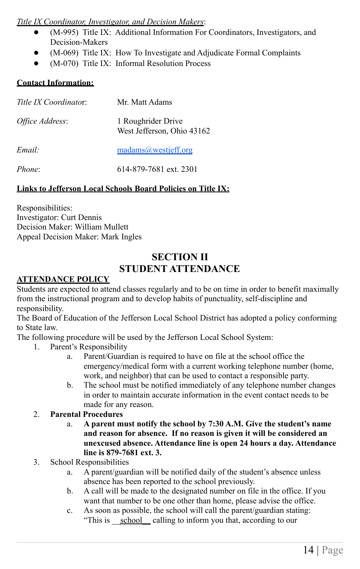#### *Title IX Coordinator, Investigator, and Decision Makers*:

- (M-995) Title IX: Additional Information For Coordinators, Investigators, and Decision-Makers
- (M-069) Title IX: How To Investigate and Adjudicate Formal Complaints
- (M-070) Title IX: Informal Resolution Process

#### **Contact Information:**

| Title IX Coordinator: | Mr. Matt Adams                                   |
|-----------------------|--------------------------------------------------|
| Office Address:       | 1 Roughrider Drive<br>West Jefferson, Ohio 43162 |
| Email:                | madians@westjeff.org                             |
| Phone:                | 614-879-7681 ext. 2301                           |

#### **Links to Jefferson Local Schools Board Policies on Title IX:**

Responsibilities: Investigator: Curt Dennis Decision Maker: William Mullett Appeal Decision Maker: Mark Ingles

#### **SECTION II STUDENT ATTENDANCE**

#### **ATTENDANCE POLICY**

Students are expected to attend classes regularly and to be on time in order to benefit maximally from the instructional program and to develop habits of punctuality, self-discipline and responsibility.

The Board of Education of the Jefferson Local School District has adopted a policy conforming to State law.

The following procedure will be used by the Jefferson Local School System:

- 1. Parent's Responsibility
	- a. Parent/Guardian is required to have on file at the school office the emergency/medical form with a current working telephone number (home, work, and neighbor) that can be used to contact a responsible party.
	- b. The school must be notified immediately of any telephone number changes in order to maintain accurate information in the event contact needs to be made for any reason.
- 2. **Parental Procedures**
	- a. **A parent must notify the school by 7:30 A.M. Give the student's name and reason for absence. If no reason is given it will be considered an unexcused absence. Attendance line is open 24 hours a day. Attendance line is 879-7681 ext. 3.**
- 3. School Responsibilities
	- a. A parent/guardian will be notified daily of the student's absence unless absence has been reported to the school previously.
	- b. A call will be made to the designated number on file in the office. If you want that number to be one other than home, please advise the office.
	- c. As soon as possible, the school will call the parent/guardian stating: "This is school calling to inform you that, according to our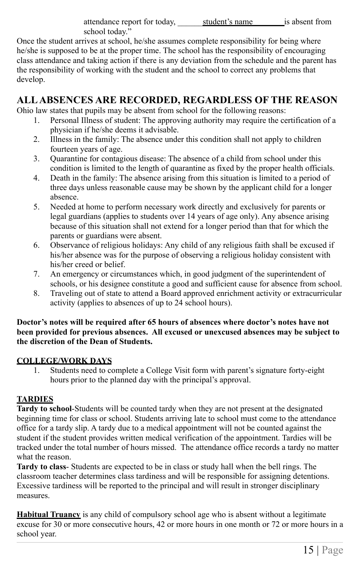attendance report for today, student's name is absent from school today."

Once the student arrives at school, he/she assumes complete responsibility for being where he/she is supposed to be at the proper time. The school has the responsibility of encouraging class attendance and taking action if there is any deviation from the schedule and the parent has the responsibility of working with the student and the school to correct any problems that develop.

#### **ALLABSENCES ARE RECORDED, REGARDLESS OF THE REASON**

Ohio law states that pupils may be absent from school for the following reasons:

- 1. Personal Illness of student: The approving authority may require the certification of a physician if he/she deems it advisable.
- 2. Illness in the family: The absence under this condition shall not apply to children fourteen years of age.
- 3. Quarantine for contagious disease: The absence of a child from school under this condition is limited to the length of quarantine as fixed by the proper health officials.
- 4. Death in the family: The absence arising from this situation is limited to a period of three days unless reasonable cause may be shown by the applicant child for a longer absence.
- 5. Needed at home to perform necessary work directly and exclusively for parents or legal guardians (applies to students over 14 years of age only). Any absence arising because of this situation shall not extend for a longer period than that for which the parents or guardians were absent.
- 6. Observance of religious holidays: Any child of any religious faith shall be excused if his/her absence was for the purpose of observing a religious holiday consistent with his/her creed or belief.
- 7. An emergency or circumstances which, in good judgment of the superintendent of schools, or his designee constitute a good and sufficient cause for absence from school.
- 8. Traveling out of state to attend a Board approved enrichment activity or extracurricular activity (applies to absences of up to 24 school hours).

#### **Doctor's notes will be required after 65 hours of absences where doctor's notes have not been provided for previous absences. All excused or unexcused absences may be subject to the discretion of the Dean of Students.**

#### **COLLEGE/WORK DAYS**

1. Students need to complete a College Visit form with parent's signature forty-eight hours prior to the planned day with the principal's approval.

#### **TARDIES**

**Tardy to school**-Students will be counted tardy when they are not present at the designated beginning time for class or school. Students arriving late to school must come to the attendance office for a tardy slip. A tardy due to a medical appointment will not be counted against the student if the student provides written medical verification of the appointment. Tardies will be tracked under the total number of hours missed. The attendance office records a tardy no matter what the reason.

**Tardy to class**- Students are expected to be in class or study hall when the bell rings. The classroom teacher determines class tardiness and will be responsible for assigning detentions. Excessive tardiness will be reported to the principal and will result in stronger disciplinary measures.

**Habitual Truancy** is any child of compulsory school age who is absent without a legitimate excuse for 30 or more consecutive hours, 42 or more hours in one month or 72 or more hours in a school year.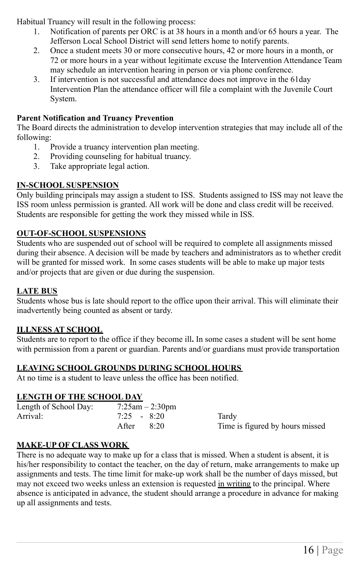Habitual Truancy will result in the following process:

- 1. Notification of parents per ORC is at 38 hours in a month and/or 65 hours a year. The Jefferson Local School District will send letters home to notify parents.
- 2. Once a student meets 30 or more consecutive hours, 42 or more hours in a month, or 72 or more hours in a year without legitimate excuse the Intervention Attendance Team may schedule an intervention hearing in person or via phone conference.
- 3. If intervention is not successful and attendance does not improve in the 61day Intervention Plan the attendance officer will file a complaint with the Juvenile Court System.

#### **Parent Notification and Truancy Prevention**

The Board directs the administration to develop intervention strategies that may include all of the following:

- 1. Provide a truancy intervention plan meeting.
- 2. Providing counseling for habitual truancy.
- 3. Take appropriate legal action.

#### **IN-SCHOOL SUSPENSION**

Only building principals may assign a student to ISS. Students assigned to ISS may not leave the ISS room unless permission is granted. All work will be done and class credit will be received. Students are responsible for getting the work they missed while in ISS.

#### **OUT-OF-SCHOOL SUSPENSIONS**

Students who are suspended out of school will be required to complete all assignments missed during their absence. A decision will be made by teachers and administrators as to whether credit will be granted for missed work. In some cases students will be able to make up major tests and/or projects that are given or due during the suspension.

#### **LATE BUS**

Students whose bus is late should report to the office upon their arrival. This will eliminate their inadvertently being counted as absent or tardy.

#### **ILLNESS AT SCHOOL**

Students are to report to the office if they become ill**.** In some cases a student will be sent home with permission from a parent or guardian. Parents and/or guardians must provide transportation

#### **LEAVING SCHOOL GROUNDS DURING SCHOOL HOURS**

At no time is a student to leave unless the office has been notified.

#### **LENGTH OF THE SCHOOL DAY**

| Length of School Day: |               | $7:25$ am $-2:30$ pm |                                 |
|-----------------------|---------------|----------------------|---------------------------------|
| Arrival:              | $7:25 - 8:20$ |                      | Tardv                           |
|                       | After         | 8:20                 | Time is figured by hours missed |

#### **MAKE-UP OF CLASS WORK**

There is no adequate way to make up for a class that is missed. When a student is absent, it is his/her responsibility to contact the teacher, on the day of return, make arrangements to make up assignments and tests. The time limit for make-up work shall be the number of days missed, but may not exceed two weeks unless an extension is requested in writing to the principal. Where absence is anticipated in advance, the student should arrange a procedure in advance for making up all assignments and tests.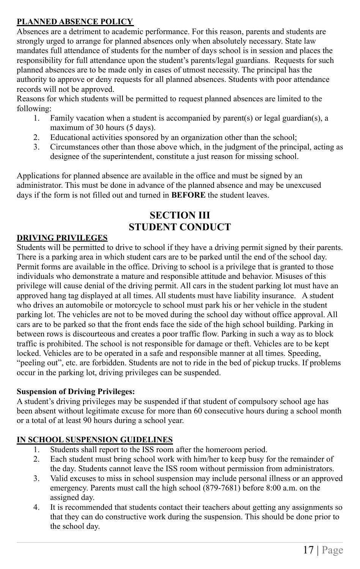#### **PLANNED ABSENCE POLICY**

Absences are a detriment to academic performance. For this reason, parents and students are strongly urged to arrange for planned absences only when absolutely necessary. State law mandates full attendance of students for the number of days school is in session and places the responsibility for full attendance upon the student's parents/legal guardians. Requests for such planned absences are to be made only in cases of utmost necessity. The principal has the authority to approve or deny requests for all planned absences. Students with poor attendance records will not be approved.

Reasons for which students will be permitted to request planned absences are limited to the following:

- 1. Family vacation when a student is accompanied by parent(s) or legal guardian(s), a maximum of 30 hours (5 days).
- 2. Educational activities sponsored by an organization other than the school;
- 3. Circumstances other than those above which, in the judgment of the principal, acting as designee of the superintendent, constitute a just reason for missing school.

Applications for planned absence are available in the office and must be signed by an administrator. This must be done in advance of the planned absence and may be unexcused days if the form is not filled out and turned in **BEFORE** the student leaves.

### **SECTION III STUDENT CONDUCT**

#### **DRIVING PRIVILEGES**

Students will be permitted to drive to school if they have a driving permit signed by their parents. There is a parking area in which student cars are to be parked until the end of the school day. Permit forms are available in the office. Driving to school is a privilege that is granted to those individuals who demonstrate a mature and responsible attitude and behavior. Misuses of this privilege will cause denial of the driving permit. All cars in the student parking lot must have an approved hang tag displayed at all times. All students must have liability insurance. A student who drives an automobile or motorcycle to school must park his or her vehicle in the student parking lot. The vehicles are not to be moved during the school day without office approval. All cars are to be parked so that the front ends face the side of the high school building. Parking in between rows is discourteous and creates a poor traffic flow. Parking in such a way as to block traffic is prohibited. The school is not responsible for damage or theft. Vehicles are to be kept locked. Vehicles are to be operated in a safe and responsible manner at all times. Speeding, "peeling out", etc. are forbidden. Students are not to ride in the bed of pickup trucks. If problems occur in the parking lot, driving privileges can be suspended.

#### **Suspension of Driving Privileges:**

A student's driving privileges may be suspended if that student of compulsory school age has been absent without legitimate excuse for more than 60 consecutive hours during a school month or a total of at least 90 hours during a school year.

#### **IN SCHOOL SUSPENSION GUIDELINES**

- 1. Students shall report to the ISS room after the homeroom period.
- 2. Each student must bring school work with him/her to keep busy for the remainder of the day. Students cannot leave the ISS room without permission from administrators.
- 3. Valid excuses to miss in school suspension may include personal illness or an approved emergency. Parents must call the high school (879-7681) before 8:00 a.m. on the assigned day.
- 4. It is recommended that students contact their teachers about getting any assignments so that they can do constructive work during the suspension. This should be done prior to the school day.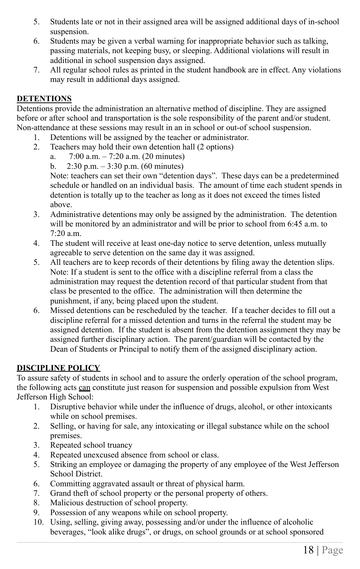- 5. Students late or not in their assigned area will be assigned additional days of in-school suspension.
- 6. Students may be given a verbal warning for inappropriate behavior such as talking, passing materials, not keeping busy, or sleeping. Additional violations will result in additional in school suspension days assigned.
- 7. All regular school rules as printed in the student handbook are in effect. Any violations may result in additional days assigned.

#### **DETENTIONS**

Detentions provide the administration an alternative method of discipline. They are assigned before or after school and transportation is the sole responsibility of the parent and/or student. Non-attendance at these sessions may result in an in school or out-of school suspension.

- 1. Detentions will be assigned by the teacher or administrator.
- 2. Teachers may hold their own detention hall (2 options)
	- a. 7:00 a.m. 7:20 a.m. (20 minutes)
	- b.  $2:30 \text{ p.m.} 3:30 \text{ p.m.}$  (60 minutes)

Note: teachers can set their own "detention days". These days can be a predetermined schedule or handled on an individual basis. The amount of time each student spends in detention is totally up to the teacher as long as it does not exceed the times listed above.

- 3. Administrative detentions may only be assigned by the administration. The detention will be monitored by an administrator and will be prior to school from 6:45 a.m. to 7:20 a.m.
- 4. The student will receive at least one-day notice to serve detention, unless mutually agreeable to serve detention on the same day it was assigned.
- 5. All teachers are to keep records of their detentions by filing away the detention slips. Note: If a student is sent to the office with a discipline referral from a class the administration may request the detention record of that particular student from that class be presented to the office. The administration will then determine the punishment, if any, being placed upon the student.
- 6. Missed detentions can be rescheduled by the teacher. If a teacher decides to fill out a discipline referral for a missed detention and turns in the referral the student may be assigned detention. If the student is absent from the detention assignment they may be assigned further disciplinary action. The parent/guardian will be contacted by the Dean of Students or Principal to notify them of the assigned disciplinary action.

#### **DISCIPLINE POLICY**

To assure safety of students in school and to assure the orderly operation of the school program, the following acts can constitute just reason for suspension and possible expulsion from West Jefferson High School:

- 1. Disruptive behavior while under the influence of drugs, alcohol, or other intoxicants while on school premises.
- 2. Selling, or having for sale, any intoxicating or illegal substance while on the school premises.
- 3. Repeated school truancy
- 4. Repeated unexcused absence from school or class.
- 5. Striking an employee or damaging the property of any employee of the West Jefferson School District.
- 6. Committing aggravated assault or threat of physical harm.
- 7. Grand theft of school property or the personal property of others.
- 8. Malicious destruction of school property.
- 9. Possession of any weapons while on school property.
- 10. Using, selling, giving away, possessing and/or under the influence of alcoholic beverages, "look alike drugs", or drugs, on school grounds or at school sponsored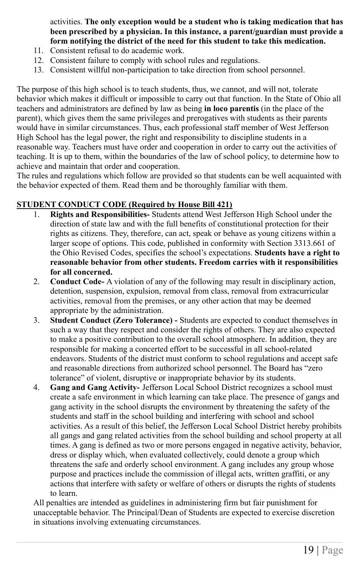activities. **The only exception would be a student who is taking medication that has been prescribed by a physician. In this instance, a parent/guardian must provide a form notifying the district of the need for this student to take this medication.**

- 11. Consistent refusal to do academic work.
- 12. Consistent failure to comply with school rules and regulations.
- 13. Consistent willful non-participation to take direction from school personnel.

The purpose of this high school is to teach students, thus, we cannot, and will not, tolerate behavior which makes it difficult or impossible to carry out that function. In the State of Ohio all teachers and administrators are defined by law as being **in loco parentis** (in the place of the parent), which gives them the same privileges and prerogatives with students as their parents would have in similar circumstances. Thus, each professional staff member of West Jefferson High School has the legal power, the right and responsibility to discipline students in a reasonable way. Teachers must have order and cooperation in order to carry out the activities of teaching. It is up to them, within the boundaries of the law of school policy, to determine how to achieve and maintain that order and cooperation.

The rules and regulations which follow are provided so that students can be well acquainted with the behavior expected of them. Read them and be thoroughly familiar with them.

#### **STUDENT CONDUCT CODE (Required by House Bill 421)**

- 1. **Rights and Responsibilities-** Students attend West Jefferson High School under the direction of state law and with the full benefits of constitutional protection for their rights as citizens. They, therefore, can act, speak or behave as young citizens within a larger scope of options. This code, published in conformity with Section 3313.661 of the Ohio Revised Codes, specifies the school's expectations. **Students have a right to reasonable behavior from other students. Freedom carries with it responsibilities for all concerned.**
- 2. **Conduct Code-** A violation of any of the following may result in disciplinary action, detention, suspension, expulsion, removal from class, removal from extracurricular activities, removal from the premises, or any other action that may be deemed appropriate by the administration.
- 3. **Student Conduct (Zero Tolerance) -** Students are expected to conduct themselves in such a way that they respect and consider the rights of others. They are also expected to make a positive contribution to the overall school atmosphere. In addition, they are responsible for making a concerted effort to be successful in all school-related endeavors. Students of the district must conform to school regulations and accept safe and reasonable directions from authorized school personnel. The Board has "zero tolerance" of violent, disruptive or inappropriate behavior by its students.
- 4. **Gang and Gang Activity-** Jefferson Local School District recognizes a school must create a safe environment in which learning can take place. The presence of gangs and gang activity in the school disrupts the environment by threatening the safety of the students and staff in the school building and interfering with school and school activities. As a result of this belief, the Jefferson Local School District hereby prohibits all gangs and gang related activities from the school building and school property at all times. A gang is defined as two or more persons engaged in negative activity, behavior, dress or display which, when evaluated collectively, could denote a group which threatens the safe and orderly school environment. A gang includes any group whose purpose and practices include the commission of illegal acts, written graffiti, or any actions that interfere with safety or welfare of others or disrupts the rights of students to learn.

All penalties are intended as guidelines in administering firm but fair punishment for unacceptable behavior. The Principal/Dean of Students are expected to exercise discretion in situations involving extenuating circumstances.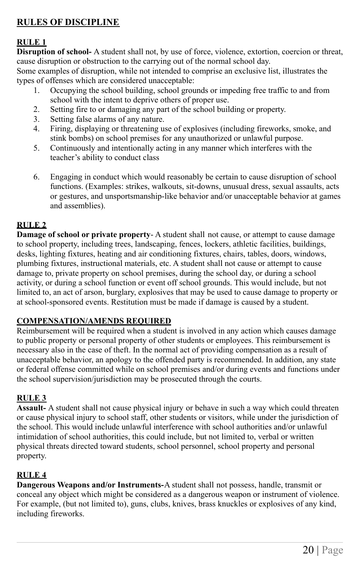#### **RULES OF DISCIPLINE**

#### **RULE 1**

**Disruption of school-** A student shall not, by use of force, violence, extortion, coercion or threat, cause disruption or obstruction to the carrying out of the normal school day.

Some examples of disruption, while not intended to comprise an exclusive list, illustrates the types of offenses which are considered unacceptable:

- 1. Occupying the school building, school grounds or impeding free traffic to and from school with the intent to deprive others of proper use.
- 2. Setting fire to or damaging any part of the school building or property.
- 3. Setting false alarms of any nature.
- 4. Firing, displaying or threatening use of explosives (including fireworks, smoke, and stink bombs) on school premises for any unauthorized or unlawful purpose.
- 5. Continuously and intentionally acting in any manner which interferes with the teacher's ability to conduct class
- 6. Engaging in conduct which would reasonably be certain to cause disruption of school functions. (Examples: strikes, walkouts, sit-downs, unusual dress, sexual assaults, acts or gestures, and unsportsmanship-like behavior and/or unacceptable behavior at games and assemblies).

#### **RULE 2**

**Damage of school or private property**- A student shall not cause, or attempt to cause damage to school property, including trees, landscaping, fences, lockers, athletic facilities, buildings, desks, lighting fixtures, heating and air conditioning fixtures, chairs, tables, doors, windows, plumbing fixtures, instructional materials, etc. A student shall not cause or attempt to cause damage to, private property on school premises, during the school day, or during a school activity, or during a school function or event off school grounds. This would include, but not limited to, an act of arson, burglary, explosives that may be used to cause damage to property or at school-sponsored events. Restitution must be made if damage is caused by a student.

#### **COMPENSATION/AMENDS REQUIRED**

Reimbursement will be required when a student is involved in any action which causes damage to public property or personal property of other students or employees. This reimbursement is necessary also in the case of theft. In the normal act of providing compensation as a result of unacceptable behavior, an apology to the offended party is recommended. In addition, any state or federal offense committed while on school premises and/or during events and functions under the school supervision/jurisdiction may be prosecuted through the courts.

#### **RULE 3**

**Assault-** A student shall not cause physical injury or behave in such a way which could threaten or cause physical injury to school staff, other students or visitors, while under the jurisdiction of the school. This would include unlawful interference with school authorities and/or unlawful intimidation of school authorities, this could include, but not limited to, verbal or written physical threats directed toward students, school personnel, school property and personal property.

#### **RULE 4**

**Dangerous Weapons and/or Instruments-**A student shall not possess, handle, transmit or conceal any object which might be considered as a dangerous weapon or instrument of violence. For example, (but not limited to), guns, clubs, knives, brass knuckles or explosives of any kind, including fireworks.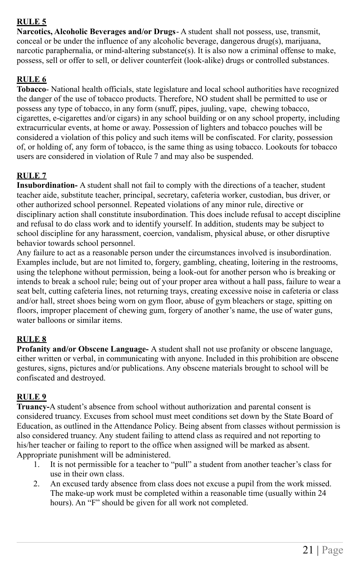#### **RULE 5**

**Narcotics, Alcoholic Beverages and/or Drugs**- A student shall not possess, use, transmit, conceal or be under the influence of any alcoholic beverage, dangerous drug(s), marijuana, narcotic paraphernalia, or mind-altering substance(s). It is also now a criminal offense to make, possess, sell or offer to sell, or deliver counterfeit (look-alike) drugs or controlled substances.

#### **RULE 6**

**Tobacco**- National health officials, state legislature and local school authorities have recognized the danger of the use of tobacco products. Therefore, NO student shall be permitted to use or possess any type of tobacco, in any form (snuff, pipes, juuling, vape, chewing tobacco, cigarettes, e-cigarettes and/or cigars) in any school building or on any school property, including extracurricular events, at home or away. Possession of lighters and tobacco pouches will be considered a violation of this policy and such items will be confiscated. For clarity, possession of, or holding of, any form of tobacco, is the same thing as using tobacco. Lookouts for tobacco users are considered in violation of Rule 7 and may also be suspended.

#### **RULE 7**

**Insubordination-** A student shall not fail to comply with the directions of a teacher, student teacher aide, substitute teacher, principal, secretary, cafeteria worker, custodian, bus driver, or other authorized school personnel. Repeated violations of any minor rule, directive or disciplinary action shall constitute insubordination. This does include refusal to accept discipline and refusal to do class work and to identify yourself. In addition, students may be subject to school discipline for any harassment, coercion, vandalism, physical abuse, or other disruptive behavior towards school personnel.

Any failure to act as a reasonable person under the circumstances involved is insubordination. Examples include, but are not limited to, forgery, gambling, cheating, loitering in the restrooms, using the telephone without permission, being a look-out for another person who is breaking or intends to break a school rule; being out of your proper area without a hall pass, failure to wear a seat belt, cutting cafeteria lines, not returning trays, creating excessive noise in cafeteria or class and/or hall, street shoes being worn on gym floor, abuse of gym bleachers or stage, spitting on floors, improper placement of chewing gum, forgery of another's name, the use of water guns, water balloons or similar items.

#### **RULE 8**

**Profanity and/or Obscene Language-** A student shall not use profanity or obscene language, either written or verbal, in communicating with anyone. Included in this prohibition are obscene gestures, signs, pictures and/or publications. Any obscene materials brought to school will be confiscated and destroyed.

#### **RULE 9**

**Truancy-**A student's absence from school without authorization and parental consent is considered truancy. Excuses from school must meet conditions set down by the State Board of Education, as outlined in the Attendance Policy. Being absent from classes without permission is also considered truancy. Any student failing to attend class as required and not reporting to his/her teacher or failing to report to the office when assigned will be marked as absent. Appropriate punishment will be administered.

- 1. It is not permissible for a teacher to "pull" a student from another teacher's class for use in their own class.
- 2. An excused tardy absence from class does not excuse a pupil from the work missed. The make-up work must be completed within a reasonable time (usually within 24 hours). An "F" should be given for all work not completed.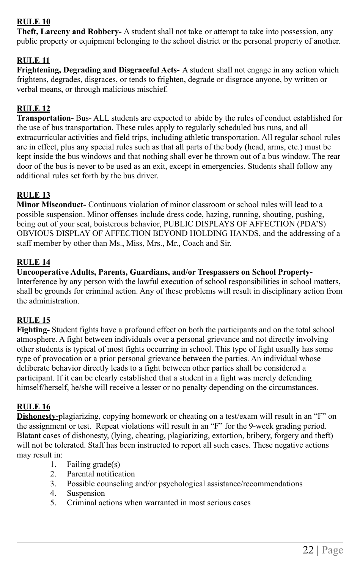#### **RULE 10**

**Theft, Larceny and Robbery-** A student shall not take or attempt to take into possession, any public property or equipment belonging to the school district or the personal property of another.

#### **RULE 11**

**Frightening, Degrading and Disgraceful Acts-** A student shall not engage in any action which frightens, degrades, disgraces, or tends to frighten, degrade or disgrace anyone, by written or verbal means, or through malicious mischief.

#### **RULE 12**

**Transportation-** Bus- ALL students are expected to abide by the rules of conduct established for the use of bus transportation. These rules apply to regularly scheduled bus runs, and all extracurricular activities and field trips, including athletic transportation. All regular school rules are in effect, plus any special rules such as that all parts of the body (head, arms, etc.) must be kept inside the bus windows and that nothing shall ever be thrown out of a bus window. The rear door of the bus is never to be used as an exit, except in emergencies. Students shall follow any additional rules set forth by the bus driver.

#### **RULE 13**

**Minor Misconduct-** Continuous violation of minor classroom or school rules will lead to a possible suspension. Minor offenses include dress code, hazing, running, shouting, pushing, being out of your seat, boisterous behavior, PUBLIC DISPLAYS OF AFFECTION (PDA'S) OBVIOUS DISPLAY OF AFFECTION BEYOND HOLDING HANDS, and the addressing of a staff member by other than Ms., Miss, Mrs., Mr., Coach and Sir.

#### **RULE 14**

**Uncooperative Adults, Parents, Guardians, and/or Trespassers on School Property-**Interference by any person with the lawful execution of school responsibilities in school matters, shall be grounds for criminal action. Any of these problems will result in disciplinary action from the administration.

#### **RULE 15**

**Fighting-** Student fights have a profound effect on both the participants and on the total school atmosphere. A fight between individuals over a personal grievance and not directly involving other students is typical of most fights occurring in school. This type of fight usually has some type of provocation or a prior personal grievance between the parties. An individual whose deliberate behavior directly leads to a fight between other parties shall be considered a participant. If it can be clearly established that a student in a fight was merely defending himself/herself, he/she will receive a lesser or no penalty depending on the circumstances.

#### **RULE 16**

**Dishonesty-**plagiarizing, copying homework or cheating on a test/exam will result in an "F" on the assignment or test. Repeat violations will result in an "F" for the 9-week grading period. Blatant cases of dishonesty, (lying, cheating, plagiarizing, extortion, bribery, forgery and theft) will not be tolerated. Staff has been instructed to report all such cases. These negative actions may result in:

- 1. Failing grade(s)
- 2. Parental notification
- 3. Possible counseling and/or psychological assistance/recommendations
- 4. Suspension
- 5. Criminal actions when warranted in most serious cases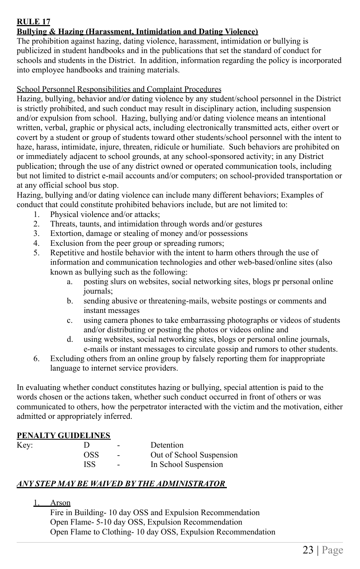#### **RULE 17 Bullying & Hazing (Harassment, Intimidation and Dating Violence)**

The prohibition against hazing, dating violence, harassment, intimidation or bullying is publicized in student handbooks and in the publications that set the standard of conduct for schools and students in the District. In addition, information regarding the policy is incorporated into employee handbooks and training materials.

#### School Personnel Responsibilities and Complaint Procedures

Hazing, bullying, behavior and/or dating violence by any student/school personnel in the District is strictly prohibited, and such conduct may result in disciplinary action, including suspension and/or expulsion from school. Hazing, bullying and/or dating violence means an intentional written, verbal, graphic or physical acts, including electronically transmitted acts, either overt or covert by a student or group of students toward other students/school personnel with the intent to haze, harass, intimidate, injure, threaten, ridicule or humiliate. Such behaviors are prohibited on or immediately adjacent to school grounds, at any school-sponsored activity; in any District publication; through the use of any district owned or operated communication tools, including but not limited to district e-mail accounts and/or computers; on school-provided transportation or at any official school bus stop.

Hazing, bullying and/or dating violence can include many different behaviors; Examples of conduct that could constitute prohibited behaviors include, but are not limited to:

- 1. Physical violence and/or attacks;
- 2. Threats, taunts, and intimidation through words and/or gestures
- 3. Extortion, damage or stealing of money and/or possessions
- 4. Exclusion from the peer group or spreading rumors;
- 5. Repetitive and hostile behavior with the intent to harm others through the use of information and communication technologies and other web-based/online sites (also known as bullying such as the following:
	- a. posting slurs on websites, social networking sites, blogs pr personal online journals;
	- b. sending abusive or threatening-mails, website postings or comments and instant messages
	- c. using camera phones to take embarrassing photographs or videos of students and/or distributing or posting the photos or videos online and
	- d. using websites, social networking sites, blogs or personal online journals, e-mails or instant messages to circulate gossip and rumors to other students.
- 6. Excluding others from an online group by falsely reporting them for inappropriate language to internet service providers.

In evaluating whether conduct constitutes hazing or bullying, special attention is paid to the words chosen or the actions taken, whether such conduct occurred in front of others or was communicated to others, how the perpetrator interacted with the victim and the motivation, either admitted or appropriately inferred.

#### **PENALTY GUIDELINES**

| Key: |            | $\overline{\phantom{0}}$ | Detention                |
|------|------------|--------------------------|--------------------------|
|      | <b>OSS</b> | $\overline{\phantom{a}}$ | Out of School Suspension |
|      | <b>ISS</b> | $\overline{\phantom{0}}$ | In School Suspension     |

#### *ANY STEP MAY BE WAIVED BY THE ADMINISTRATOR*

#### 1. Arson

Fire in Building- 10 day OSS and Expulsion Recommendation Open Flame- 5-10 day OSS, Expulsion Recommendation Open Flame to Clothing- 10 day OSS, Expulsion Recommendation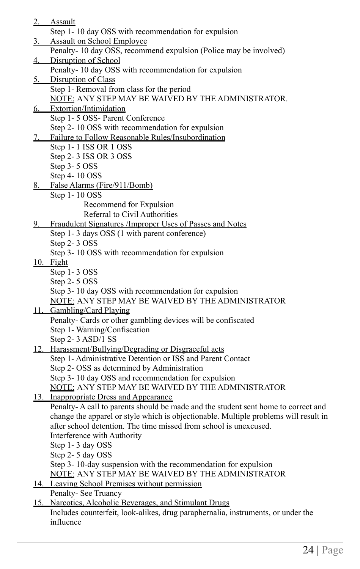- 2. Assault Step 1- 10 day OSS with recommendation for expulsion 3. Assault on School Employee Penalty- 10 day OSS, recommend expulsion (Police may be involved) 4. Disruption of School Penalty- 10 day OSS with recommendation for expulsion 5. Disruption of Class Step 1- Removal from class for the period NOTE: ANY STEP MAY BE WAIVED BY THE ADMINISTRATOR. 6. Extortion/Intimidation Step 1- 5 OSS- Parent Conference Step 2- 10 OSS with recommendation for expulsion 7. Failure to Follow Reasonable Rules/Insubordination Step 1- 1 ISS OR 1 OSS Step 2- 3 ISS OR 3 OSS Step 3- 5 OSS Step 4- 10 OSS 8. False Alarms (Fire/911/Bomb) Step 1- 10 OSS Recommend for Expulsion Referral to Civil Authorities 9. Fraudulent Signatures /Improper Uses of Passes and Notes Step 1- 3 days OSS (1 with parent conference) Step 2- 3 OSS Step 3- 10 OSS with recommendation for expulsion 10. Fight Step 1- 3 OSS Step 2- 5 OSS Step 3- 10 day OSS with recommendation for expulsion NOTE: ANY STEP MAY BE WAIVED BY THE ADMINISTRATOR 11. Gambling/Card Playing Penalty- Cards or other gambling devices will be confiscated Step 1- Warning/Confiscation Step 2-3 ASD/1 SS 12. Harassment/Bullying/Degrading or Disgraceful acts Step 1- Administrative Detention or ISS and Parent Contact Step 2- OSS as determined by Administration Step 3- 10 day OSS and recommendation for expulsion NOTE: ANY STEP MAY BE WAIVED BY THE ADMINISTRATOR 13. Inappropriate Dress and Appearance Penalty- A call to parents should be made and the student sent home to correct and change the apparel or style which is objectionable. Multiple problems will result in after school detention. The time missed from school is unexcused. Interference with Authority Step 1- 3 day OSS Step 2- 5 day OSS Step 3- 10-day suspension with the recommendation for expulsion NOTE: ANY STEP MAY BE WAIVED BY THE ADMINISTRATOR
- 14. Leaving School Premises without permission
- Penalty- See Truancy
- 15. Narcotics, Alcoholic Beverages, and Stimulant Drugs Includes counterfeit, look-alikes, drug paraphernalia, instruments, or under the influence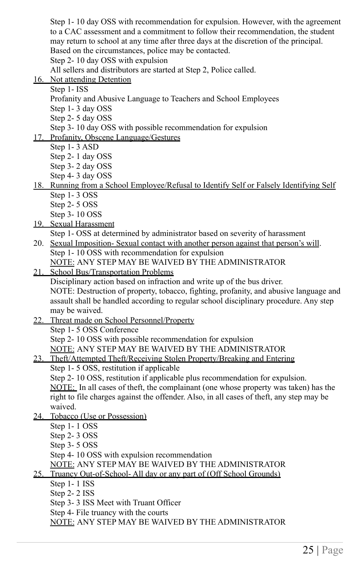Step 1- 10 day OSS with recommendation for expulsion. However, with the agreement to a CAC assessment and a commitment to follow their recommendation, the student may return to school at any time after three days at the discretion of the principal. Based on the circumstances, police may be contacted. Step 2- 10 day OSS with expulsion

All sellers and distributors are started at Step 2, Police called.

- 16. Not attending Detention
	- Step 1- ISS
		- Profanity and Abusive Language to Teachers and School Employees
		- Step 1- 3 day OSS
		- Step 2- 5 day OSS

Step 3- 10 day OSS with possible recommendation for expulsion

- 17. Profanity, Obscene Language/Gestures
	- Step 1- 3 ASD
	- Step 2- 1 day OSS
	- Step 3- 2 day OSS
	- Step 4- 3 day OSS
- 18. Running from a School Employee/Refusal to Identify Self or Falsely Identifying Self Step 1- 3 OSS
	- Step 2- 5 OSS
	- Step 3- 10 OSS
- 19. Sexual Harassment

Step 1- OSS at determined by administrator based on severity of harassment

- 20. Sexual Imposition- Sexual contact with another person against that person's will. Step 1- 10 OSS with recommendation for expulsion NOTE: ANY STEP MAY BE WAIVED BY THE ADMINISTRATOR
- 21. School Bus/Transportation Problems

Disciplinary action based on infraction and write up of the bus driver.

NOTE: Destruction of property, tobacco, fighting, profanity, and abusive language and assault shall be handled according to regular school disciplinary procedure. Any step may be waived.

22. Threat made on School Personnel/Property Step 1- 5 OSS Conference

Step 2- 10 OSS with possible recommendation for expulsion NOTE: ANY STEP MAY BE WAIVED BY THE ADMINISTRATOR

- 23. Theft/Attempted Theft/Receiving Stolen Property/Breaking and Entering
	- Step 1- 5 OSS, restitution if applicable

Step 2- 10 OSS, restitution if applicable plus recommendation for expulsion. NOTE: In all cases of theft, the complainant (one whose property was taken) has the right to file charges against the offender. Also, in all cases of theft, any step may be waived.

- 24. Tobacco (Use or Possession)
	- Step 1- 1 OSS
	- Step 2- 3 OSS
	- Step 3- 5 OSS
	- Step 4- 10 OSS with expulsion recommendation

NOTE: ANY STEP MAY BE WAIVED BY THE ADMINISTRATOR

- 25. Truancy Out-of-School- All day or any part of (Off School Grounds)
	- Step 1- 1 ISS
	- Step 2- 2 ISS
	- Step 3- 3 ISS Meet with Truant Officer
	- Step 4- File truancy with the courts

NOTE: ANY STEP MAY BE WAIVED BY THE ADMINISTRATOR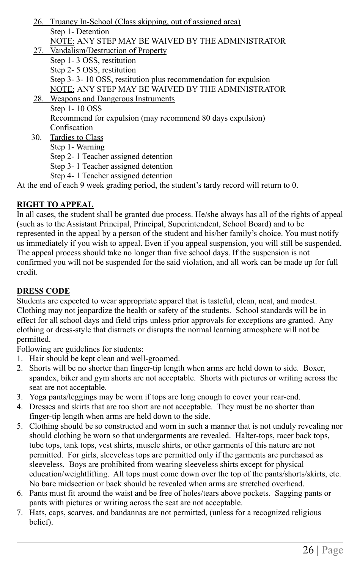- 26. Truancy In-School (Class skipping, out of assigned area) Step 1- Detention NOTE: ANY STEP MAY BE WAIVED BY THE ADMINISTRATOR 27. Vandalism/Destruction of Property Step 1- 3 OSS, restitution Step 2- 5 OSS, restitution Step 3- 3- 10 OSS, restitution plus recommendation for expulsion NOTE: ANY STEP MAY BE WAIVED BY THE ADMINISTRATOR 28. Weapons and Dangerous Instruments Step 1- 10 OSS Recommend for expulsion (may recommend 80 days expulsion) Confiscation 30. Tardies to Class Step 1- Warning Step 2- 1 Teacher assigned detention Step 3- 1 Teacher assigned detention
	- Step 4- 1 Teacher assigned detention

At the end of each 9 week grading period, the student's tardy record will return to 0.

#### **RIGHT TO APPEAL**

In all cases, the student shall be granted due process. He/she always has all of the rights of appeal (such as to the Assistant Principal, Principal, Superintendent, School Board) and to be represented in the appeal by a person of the student and his/her family's choice. You must notify us immediately if you wish to appeal. Even if you appeal suspension, you will still be suspended. The appeal process should take no longer than five school days. If the suspension is not confirmed you will not be suspended for the said violation, and all work can be made up for full credit.

#### **DRESS CODE**

Students are expected to wear appropriate apparel that is tasteful, clean, neat, and modest. Clothing may not jeopardize the health or safety of the students. School standards will be in effect for all school days and field trips unless prior approvals for exceptions are granted. Any clothing or dress-style that distracts or disrupts the normal learning atmosphere will not be permitted.

Following are guidelines for students:

- 1. Hair should be kept clean and well-groomed.
- 2. Shorts will be no shorter than finger-tip length when arms are held down to side. Boxer, spandex, biker and gym shorts are not acceptable. Shorts with pictures or writing across the seat are not acceptable.
- 3. Yoga pants/leggings may be worn if tops are long enough to cover your rear-end.
- 4. Dresses and skirts that are too short are not acceptable. They must be no shorter than finger-tip length when arms are held down to the side.
- 5. Clothing should be so constructed and worn in such a manner that is not unduly revealing nor should clothing be worn so that undergarments are revealed. Halter-tops, racer back tops, tube tops, tank tops, vest shirts, muscle shirts, or other garments of this nature are not permitted. For girls, sleeveless tops are permitted only if the garments are purchased as sleeveless. Boys are prohibited from wearing sleeveless shirts except for physical education/weightlifting. All tops must come down over the top of the pants/shorts/skirts, etc. No bare midsection or back should be revealed when arms are stretched overhead.
- 6. Pants must fit around the waist and be free of holes/tears above pockets. Sagging pants or pants with pictures or writing across the seat are not acceptable.
- 7. Hats, caps, scarves, and bandannas are not permitted, (unless for a recognized religious belief).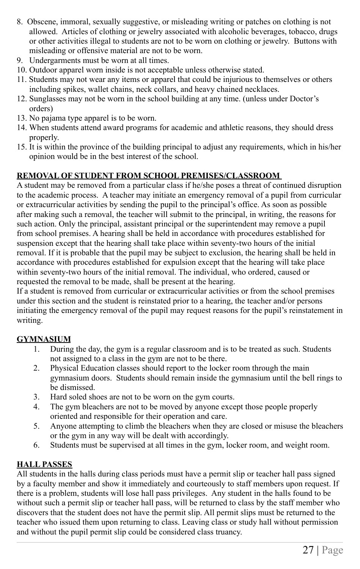- 8. Obscene, immoral, sexually suggestive, or misleading writing or patches on clothing is not allowed. Articles of clothing or jewelry associated with alcoholic beverages, tobacco, drugs or other activities illegal to students are not to be worn on clothing or jewelry. Buttons with misleading or offensive material are not to be worn.
- 9. Undergarments must be worn at all times.
- 10. Outdoor apparel worn inside is not acceptable unless otherwise stated.
- 11. Students may not wear any items or apparel that could be injurious to themselves or others including spikes, wallet chains, neck collars, and heavy chained necklaces.
- 12. Sunglasses may not be worn in the school building at any time. (unless under Doctor's orders)
- 13. No pajama type apparel is to be worn.
- 14. When students attend award programs for academic and athletic reasons, they should dress properly.
- 15. It is within the province of the building principal to adjust any requirements, which in his/her opinion would be in the best interest of the school.

#### **REMOVAL OF STUDENT FROM SCHOOL PREMISES/CLASSROOM**

A student may be removed from a particular class if he/she poses a threat of continued disruption to the academic process. A teacher may initiate an emergency removal of a pupil from curricular or extracurricular activities by sending the pupil to the principal's office. As soon as possible after making such a removal, the teacher will submit to the principal, in writing, the reasons for such action. Only the principal, assistant principal or the superintendent may remove a pupil from school premises. A hearing shall be held in accordance with procedures established for suspension except that the hearing shall take place within seventy-two hours of the initial removal. If it is probable that the pupil may be subject to exclusion, the hearing shall be held in accordance with procedures established for expulsion except that the hearing will take place within seventy-two hours of the initial removal. The individual, who ordered, caused or requested the removal to be made, shall be present at the hearing.

If a student is removed from curricular or extracurricular activities or from the school premises under this section and the student is reinstated prior to a hearing, the teacher and/or persons initiating the emergency removal of the pupil may request reasons for the pupil's reinstatement in writing.

#### **GYMNASIUM**

- 1. During the day, the gym is a regular classroom and is to be treated as such. Students not assigned to a class in the gym are not to be there.
- 2. Physical Education classes should report to the locker room through the main gymnasium doors. Students should remain inside the gymnasium until the bell rings to be dismissed.
- 3. Hard soled shoes are not to be worn on the gym courts.
- 4. The gym bleachers are not to be moved by anyone except those people properly oriented and responsible for their operation and care.
- 5. Anyone attempting to climb the bleachers when they are closed or misuse the bleachers or the gym in any way will be dealt with accordingly.
- 6. Students must be supervised at all times in the gym, locker room, and weight room.

#### **HALL PASSES**

All students in the halls during class periods must have a permit slip or teacher hall pass signed by a faculty member and show it immediately and courteously to staff members upon request. If there is a problem, students will lose hall pass privileges. Any student in the halls found to be without such a permit slip or teacher hall pass, will be returned to class by the staff member who discovers that the student does not have the permit slip. All permit slips must be returned to the teacher who issued them upon returning to class. Leaving class or study hall without permission and without the pupil permit slip could be considered class truancy.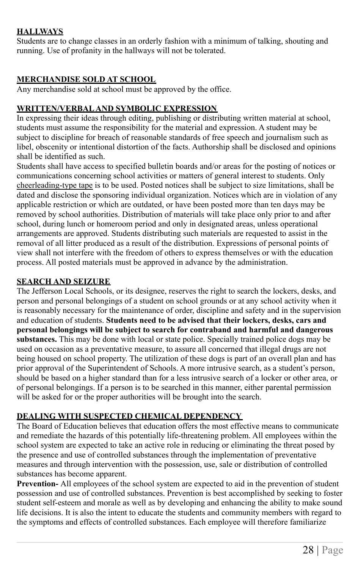#### **HALLWAYS**

Students are to change classes in an orderly fashion with a minimum of talking, shouting and running. Use of profanity in the hallways will not be tolerated.

#### **MERCHANDISE SOLD AT SCHOOL**

Any merchandise sold at school must be approved by the office.

#### **WRITTEN/VERBAL AND SYMBOLIC EXPRESSION**

In expressing their ideas through editing, publishing or distributing written material at school, students must assume the responsibility for the material and expression. A student may be subject to discipline for breach of reasonable standards of free speech and journalism such as libel, obscenity or intentional distortion of the facts. Authorship shall be disclosed and opinions shall be identified as such.

Students shall have access to specified bulletin boards and/or areas for the posting of notices or communications concerning school activities or matters of general interest to students. Only cheerleading-type tape is to be used. Posted notices shall be subject to size limitations, shall be dated and disclose the sponsoring individual organization. Notices which are in violation of any applicable restriction or which are outdated, or have been posted more than ten days may be removed by school authorities. Distribution of materials will take place only prior to and after school, during lunch or homeroom period and only in designated areas, unless operational arrangements are approved. Students distributing such materials are requested to assist in the removal of all litter produced as a result of the distribution. Expressions of personal points of view shall not interfere with the freedom of others to express themselves or with the education process. All posted materials must be approved in advance by the administration.

#### **SEARCH AND SEIZURE**

The Jefferson Local Schools, or its designee, reserves the right to search the lockers, desks, and person and personal belongings of a student on school grounds or at any school activity when it is reasonably necessary for the maintenance of order, discipline and safety and in the supervision and education of students. **Students need to be advised that their lockers, desks, cars and personal belongings will be subject to search for contraband and harmful and dangerous substances.** This may be done with local or state police. Specially trained police dogs may be used on occasion as a preventative measure, to assure all concerned that illegal drugs are not being housed on school property. The utilization of these dogs is part of an overall plan and has prior approval of the Superintendent of Schools. A more intrusive search, as a student's person, should be based on a higher standard than for a less intrusive search of a locker or other area, or of personal belongings. If a person is to be searched in this manner, either parental permission will be asked for or the proper authorities will be brought into the search.

#### **DEALING WITH SUSPECTED CHEMICAL DEPENDENCY**

The Board of Education believes that education offers the most effective means to communicate and remediate the hazards of this potentially life-threatening problem. All employees within the school system are expected to take an active role in reducing or eliminating the threat posed by the presence and use of controlled substances through the implementation of preventative measures and through intervention with the possession, use, sale or distribution of controlled substances has become apparent.

**Prevention-** All employees of the school system are expected to aid in the prevention of student possession and use of controlled substances. Prevention is best accomplished by seeking to foster student self-esteem and morale as well as by developing and enhancing the ability to make sound life decisions. It is also the intent to educate the students and community members with regard to the symptoms and effects of controlled substances. Each employee will therefore familiarize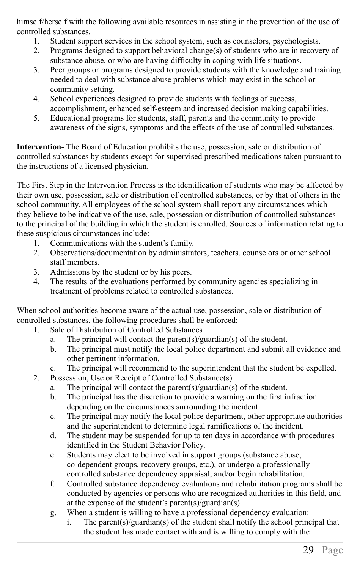himself/herself with the following available resources in assisting in the prevention of the use of controlled substances.

- 1. Student support services in the school system, such as counselors, psychologists.
- 2. Programs designed to support behavioral change(s) of students who are in recovery of substance abuse, or who are having difficulty in coping with life situations.
- 3. Peer groups or programs designed to provide students with the knowledge and training needed to deal with substance abuse problems which may exist in the school or community setting.
- 4. School experiences designed to provide students with feelings of success, accomplishment, enhanced self-esteem and increased decision making capabilities.
- 5. Educational programs for students, staff, parents and the community to provide awareness of the signs, symptoms and the effects of the use of controlled substances.

**Intervention-** The Board of Education prohibits the use, possession, sale or distribution of controlled substances by students except for supervised prescribed medications taken pursuant to the instructions of a licensed physician.

The First Step in the Intervention Process is the identification of students who may be affected by their own use, possession, sale or distribution of controlled substances, or by that of others in the school community. All employees of the school system shall report any circumstances which they believe to be indicative of the use, sale, possession or distribution of controlled substances to the principal of the building in which the student is enrolled. Sources of information relating to these suspicious circumstances include:

- 1. Communications with the student's family.
- 2. Observations/documentation by administrators, teachers, counselors or other school staff members.
- 3. Admissions by the student or by his peers.
- 4. The results of the evaluations performed by community agencies specializing in treatment of problems related to controlled substances.

When school authorities become aware of the actual use, possession, sale or distribution of controlled substances, the following procedures shall be enforced:

- 1. Sale of Distribution of Controlled Substances
	- a. The principal will contact the parent(s)/guardian(s) of the student.
	- b. The principal must notify the local police department and submit all evidence and other pertinent information.
	- c. The principal will recommend to the superintendent that the student be expelled.
- 2. Possession, Use or Receipt of Controlled Substance(s)
	- a. The principal will contact the parent(s)/guardian(s) of the student.
	- b. The principal has the discretion to provide a warning on the first infraction depending on the circumstances surrounding the incident.
	- c. The principal may notify the local police department, other appropriate authorities and the superintendent to determine legal ramifications of the incident.
	- d. The student may be suspended for up to ten days in accordance with procedures identified in the Student Behavior Policy.
	- e. Students may elect to be involved in support groups (substance abuse, co-dependent groups, recovery groups, etc.), or undergo a professionally controlled substance dependency appraisal, and/or begin rehabilitation.
	- f. Controlled substance dependency evaluations and rehabilitation programs shall be conducted by agencies or persons who are recognized authorities in this field, and at the expense of the student's parent(s)/guardian(s).
	- g. When a student is willing to have a professional dependency evaluation:
		- i. The parent(s)/guardian(s) of the student shall notify the school principal that the student has made contact with and is willing to comply with the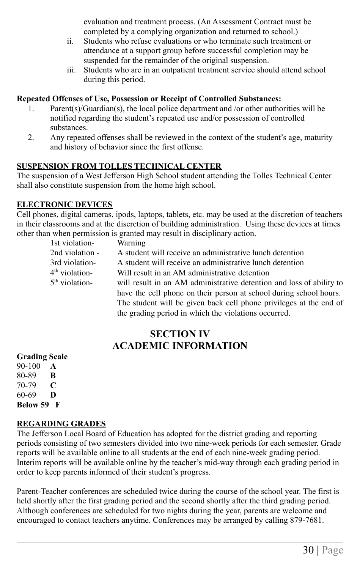evaluation and treatment process. (An Assessment Contract must be completed by a complying organization and returned to school.)

- ii. Students who refuse evaluations or who terminate such treatment or attendance at a support group before successful completion may be suspended for the remainder of the original suspension.
- iii. Students who are in an outpatient treatment service should attend school during this period.

#### **Repeated Offenses of Use, Possession or Receipt of Controlled Substances:**

- 1. Parent(s)/Guardian(s), the local police department and /or other authorities will be notified regarding the student's repeated use and/or possession of controlled substances.
- 2. Any repeated offenses shall be reviewed in the context of the student's age, maturity and history of behavior since the first offense.

#### **SUSPENSION FROM TOLLES TECHNICAL CENTER**

The suspension of a West Jefferson High School student attending the Tolles Technical Center shall also constitute suspension from the home high school.

#### **ELECTRONIC DEVICES**

Cell phones, digital cameras, ipods, laptops, tablets, etc. may be used at the discretion of teachers in their classrooms and at the discretion of building administration. Using these devices at times other than when permission is granted may result in disciplinary action.

| 1st violation-   | Warning                                                              |
|------------------|----------------------------------------------------------------------|
| 2nd violation -  | A student will receive an administrative lunch detention             |
| 3rd violation-   | A student will receive an administrative lunch detention             |
| $4th$ violation- | Will result in an AM administrative detention                        |
| $5th$ violation- | will result in an AM administrative detention and loss of ability to |
|                  | have the cell phone on their person at school during school hours.   |
|                  | The student will be given back cell phone privileges at the end of   |
|                  | the grading period in which the violations occurred.                 |

#### **SECTION IV ACADEMIC INFORMATION**

#### **Grading Scale**

90-100 **A** 80-89 **B** 70-79 **C** 60-69 **D Below 59 F**

#### **REGARDING GRADES**

The Jefferson Local Board of Education has adopted for the district grading and reporting periods consisting of two semesters divided into two nine-week periods for each semester. Grade reports will be available online to all students at the end of each nine-week grading period. Interim reports will be available online by the teacher's mid-way through each grading period in order to keep parents informed of their student's progress.

Parent-Teacher conferences are scheduled twice during the course of the school year. The first is held shortly after the first grading period and the second shortly after the third grading period. Although conferences are scheduled for two nights during the year, parents are welcome and encouraged to contact teachers anytime. Conferences may be arranged by calling 879-7681.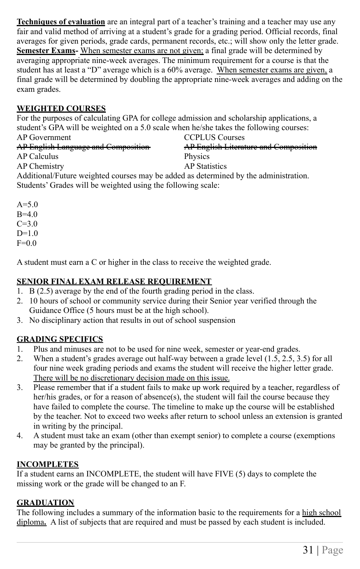**Techniques of evaluation** are an integral part of a teacher's training and a teacher may use any fair and valid method of arriving at a student's grade for a grading period. Official records, final averages for given periods, grade cards, permanent records, etc.; will show only the letter grade. **Semester Exams-** When semester exams are not given; a final grade will be determined by averaging appropriate nine-week averages. The minimum requirement for a course is that the student has at least a "D" average which is a 60% average. When semester exams are given, a final grade will be determined by doubling the appropriate nine-week averages and adding on the exam grades.

#### **WEIGHTED COURSES**

For the purposes of calculating GPA for college admission and scholarship applications, a student's GPA will be weighted on a 5.0 scale when he/she takes the following courses:

| AP Government                                                                        | <b>CCPLUS Courses</b>                 |  |
|--------------------------------------------------------------------------------------|---------------------------------------|--|
| <b>AP English Language and Composition</b>                                           | AP English Literature and Composition |  |
| AP Calculus                                                                          | Physics                               |  |
| AP Chemistry                                                                         | <b>AP</b> Statistics                  |  |
| Additional/Future weighted courses may be added as determined by the administration. |                                       |  |
| Students' Grades will be weighted using the following scale:                         |                                       |  |

 $A = 5.0$  $B=4.0$  $C=3.0$  $D=1.0$  $F=0.0$ 

A student must earn a C or higher in the class to receive the weighted grade.

#### **SENIOR FINAL EXAM RELEASE REQUIREMENT**

- 1. B (2.5) average by the end of the fourth grading period in the class.
- 2. 10 hours of school or community service during their Senior year verified through the Guidance Office (5 hours must be at the high school).
- 3. No disciplinary action that results in out of school suspension

#### **GRADING SPECIFICS**

- 1. Plus and minuses are not to be used for nine week, semester or year-end grades.
- 2. When a student's grades average out half-way between a grade level (1.5, 2.5, 3.5) for all four nine week grading periods and exams the student will receive the higher letter grade. There will be no discretionary decision made on this issue.
- 3. Please remember that if a student fails to make up work required by a teacher, regardless of her/his grades, or for a reason of absence(s), the student will fail the course because they have failed to complete the course. The timeline to make up the course will be established by the teacher. Not to exceed two weeks after return to school unless an extension is granted in writing by the principal.
- 4. A student must take an exam (other than exempt senior) to complete a course (exemptions may be granted by the principal).

#### **INCOMPLETES**

If a student earns an INCOMPLETE, the student will have FIVE (5) days to complete the missing work or the grade will be changed to an F.

#### **GRADUATION**

The following includes a summary of the information basic to the requirements for a high school diploma**.** A list of subjects that are required and must be passed by each student is included.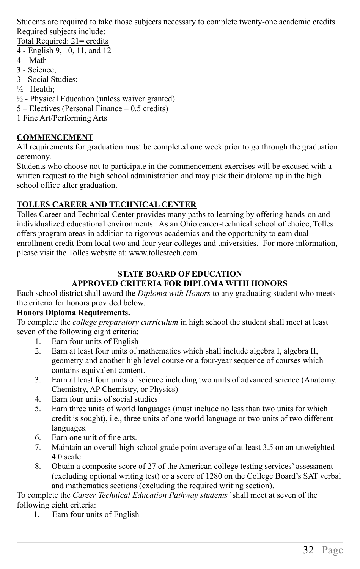Students are required to take those subjects necessary to complete twenty-one academic credits. Required subjects include:

Total Required: 21= credits

- 4 English 9, 10, 11, and 12
- $4 Math$
- 3 Science;
- 3 Social Studies;
- $\frac{1}{2}$  Health:
- $\frac{1}{2}$  Physical Education (unless waiver granted)
- 5 Electives (Personal Finance 0.5 credits)
- 1 Fine Art/Performing Arts

#### **COMMENCEMENT**

All requirements for graduation must be completed one week prior to go through the graduation ceremony.

Students who choose not to participate in the commencement exercises will be excused with a written request to the high school administration and may pick their diploma up in the high school office after graduation.

#### **TOLLES CAREER AND TECHNICAL CENTER**

Tolles Career and Technical Center provides many paths to learning by offering hands-on and individualized educational environments. As an Ohio career-technical school of choice, Tolles offers program areas in addition to rigorous academics and the opportunity to earn dual enrollment credit from local two and four year colleges and universities. For more information, please visit the Tolles website at: www.tollestech.com.

#### **STATE BOARD OF EDUCATION APPROVED CRITERIA FOR DIPLOMA WITH HONORS**

Each school district shall award the *Diploma with Honors* to any graduating student who meets the criteria for honors provided below.

#### **Honors Diploma Requirements.**

To complete the *college preparatory curriculum* in high school the student shall meet at least seven of the following eight criteria:

- 1. Earn four units of English
- 2. Earn at least four units of mathematics which shall include algebra I, algebra II, geometry and another high level course or a four-year sequence of courses which contains equivalent content.
- 3. Earn at least four units of science including two units of advanced science (Anatomy. Chemistry, AP Chemistry, or Physics)
- 4. Earn four units of social studies
- 5. Earn three units of world languages (must include no less than two units for which credit is sought), i.e., three units of one world language or two units of two different languages.
- 6. Earn one unit of fine arts.
- 7. Maintain an overall high school grade point average of at least 3.5 on an unweighted 4.0 scale.
- 8. Obtain a composite score of 27 of the American college testing services' assessment (excluding optional writing test) or a score of 1280 on the College Board's SAT verbal and mathematics sections (excluding the required writing section).

To complete the *Career Technical Education Pathway students'* shall meet at seven of the following eight criteria:

1. Earn four units of English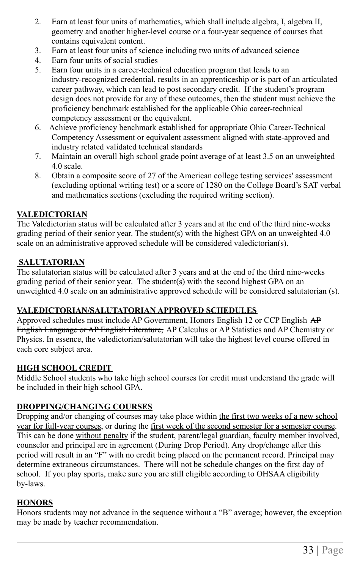- 2. Earn at least four units of mathematics, which shall include algebra, I, algebra II, geometry and another higher-level course or a four-year sequence of courses that contains equivalent content.
- 3. Earn at least four units of science including two units of advanced science
- 4. Earn four units of social studies
- 5. Earn four units in a career-technical education program that leads to an industry-recognized credential, results in an apprenticeship or is part of an articulated career pathway, which can lead to post secondary credit. If the student's program design does not provide for any of these outcomes, then the student must achieve the proficiency benchmark established for the applicable Ohio career-technical competency assessment or the equivalent.
- 6. Achieve proficiency benchmark established for appropriate Ohio Career-Technical Competency Assessment or equivalent assessment aligned with state-approved and industry related validated technical standards
- 7. Maintain an overall high school grade point average of at least 3.5 on an unweighted 4.0 scale.
- 8. Obtain a composite score of 27 of the American college testing services' assessment (excluding optional writing test) or a score of 1280 on the College Board's SAT verbal and mathematics sections (excluding the required writing section).

#### **VALEDICTORIAN**

The Valedictorian status will be calculated after 3 years and at the end of the third nine-weeks grading period of their senior year. The student(s) with the highest GPA on an unweighted 4.0 scale on an administrative approved schedule will be considered valedictorian(s).

#### **SALUTATORIAN**

The salutatorian status will be calculated after 3 years and at the end of the third nine-weeks grading period of their senior year. The student(s) with the second highest GPA on an unweighted 4.0 scale on an administrative approved schedule will be considered salutatorian (s).

#### **VALEDICTORIAN/SALUTATORIAN APPROVED SCHEDULES**

Approved schedules must include AP Government, Honors English 12 or CCP English AP English Language or AP English Literature, AP Calculus or AP Statistics and AP Chemistry or Physics. In essence, the valedictorian/salutatorian will take the highest level course offered in each core subject area.

#### **HIGH SCHOOL CREDIT**

Middle School students who take high school courses for credit must understand the grade will be included in their high school GPA.

#### **DROPPING/CHANGING COURSES**

Dropping and/or changing of courses may take place within the first two weeks of a new school year for full-year courses, or during the first week of the second semester for a semester course. This can be done without penalty if the student, parent/legal guardian, faculty member involved, counselor and principal are in agreement (During Drop Period). Any drop/change after this period will result in an "F" with no credit being placed on the permanent record. Principal may determine extraneous circumstances. There will not be schedule changes on the first day of school. If you play sports, make sure you are still eligible according to OHSAA eligibility by-laws.

#### **HONORS**

Honors students may not advance in the sequence without a "B" average; however, the exception may be made by teacher recommendation.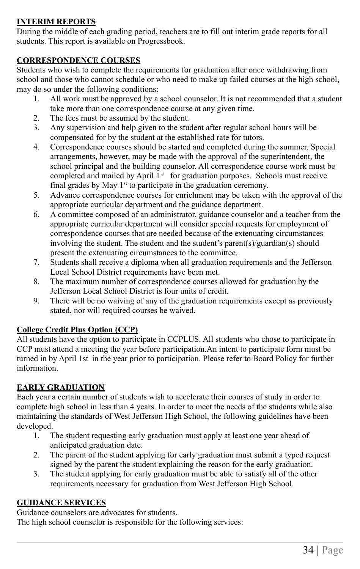#### **INTERIM REPORTS**

During the middle of each grading period, teachers are to fill out interim grade reports for all students. This report is available on Progressbook.

#### **CORRESPONDENCE COURSES**

Students who wish to complete the requirements for graduation after once withdrawing from school and those who cannot schedule or who need to make up failed courses at the high school, may do so under the following conditions:

- 1. All work must be approved by a school counselor. It is not recommended that a student take more than one correspondence course at any given time.
- 2. The fees must be assumed by the student.
- 3. Any supervision and help given to the student after regular school hours will be compensated for by the student at the established rate for tutors.
- 4. Correspondence courses should be started and completed during the summer. Special arrangements, however, may be made with the approval of the superintendent, the school principal and the building counselor. All correspondence course work must be completed and mailed by April  $1<sup>st</sup>$  for graduation purposes. Schools must receive final grades by May  $1<sup>st</sup>$  to participate in the graduation ceremony.
- 5. Advance correspondence courses for enrichment may be taken with the approval of the appropriate curricular department and the guidance department.
- 6. A committee composed of an administrator, guidance counselor and a teacher from the appropriate curricular department will consider special requests for employment of correspondence courses that are needed because of the extenuating circumstances involving the student. The student and the student's parent(s)/guardian(s) should present the extenuating circumstances to the committee.
- 7. Students shall receive a diploma when all graduation requirements and the Jefferson Local School District requirements have been met.
- 8. The maximum number of correspondence courses allowed for graduation by the Jefferson Local School District is four units of credit.
- 9. There will be no waiving of any of the graduation requirements except as previously stated, nor will required courses be waived.

#### **College Credit Plus Option (CCP)**

All students have the option to participate in CCPLUS. All students who chose to participate in CCP must attend a meeting the year before participation.An intent to participate form must be turned in by April 1st in the year prior to participation. Please refer to Board Policy for further information.

#### **EARLY GRADUATION**

Each year a certain number of students wish to accelerate their courses of study in order to complete high school in less than 4 years. In order to meet the needs of the students while also maintaining the standards of West Jefferson High School, the following guidelines have been developed.

- 1. The student requesting early graduation must apply at least one year ahead of anticipated graduation date.
- 2. The parent of the student applying for early graduation must submit a typed request signed by the parent the student explaining the reason for the early graduation.
- 3. The student applying for early graduation must be able to satisfy all of the other requirements necessary for graduation from West Jefferson High School.

#### **GUIDANCE SERVICES**

Guidance counselors are advocates for students.

The high school counselor is responsible for the following services: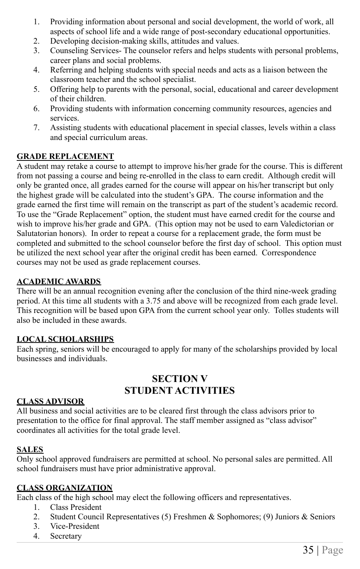- 1. Providing information about personal and social development, the world of work, all aspects of school life and a wide range of post-secondary educational opportunities.
- 2. Developing decision-making skills, attitudes and values.
- 3. Counseling Services- The counselor refers and helps students with personal problems, career plans and social problems.
- 4. Referring and helping students with special needs and acts as a liaison between the classroom teacher and the school specialist.
- 5. Offering help to parents with the personal, social, educational and career development of their children.
- 6. Providing students with information concerning community resources, agencies and services.
- 7. Assisting students with educational placement in special classes, levels within a class and special curriculum areas.

#### **GRADE REPLACEMENT**

A student may retake a course to attempt to improve his/her grade for the course. This is different from not passing a course and being re-enrolled in the class to earn credit. Although credit will only be granted once, all grades earned for the course will appear on his/her transcript but only the highest grade will be calculated into the student's GPA. The course information and the grade earned the first time will remain on the transcript as part of the student's academic record. To use the "Grade Replacement" option, the student must have earned credit for the course and wish to improve his/her grade and GPA. (This option may not be used to earn Valedictorian or Salutatorian honors). In order to repeat a course for a replacement grade, the form must be completed and submitted to the school counselor before the first day of school. This option must be utilized the next school year after the original credit has been earned. Correspondence courses may not be used as grade replacement courses.

#### **ACADEMIC AWARDS**

There will be an annual recognition evening after the conclusion of the third nine-week grading period. At this time all students with a 3.75 and above will be recognized from each grade level. This recognition will be based upon GPA from the current school year only. Tolles students will also be included in these awards.

#### **LOCAL SCHOLARSHIPS**

Each spring, seniors will be encouraged to apply for many of the scholarships provided by local businesses and individuals.

#### **SECTION V STUDENT ACTIVITIES**

#### **CLASS ADVISOR**

All business and social activities are to be cleared first through the class advisors prior to presentation to the office for final approval. The staff member assigned as "class advisor" coordinates all activities for the total grade level.

#### **SALES**

Only school approved fundraisers are permitted at school. No personal sales are permitted. All school fundraisers must have prior administrative approval.

#### **CLASS ORGANIZATION**

Each class of the high school may elect the following officers and representatives.

- 1. Class President
- 2. Student Council Representatives (5) Freshmen & Sophomores; (9) Juniors & Seniors
- 3. Vice-President
- 4. Secretary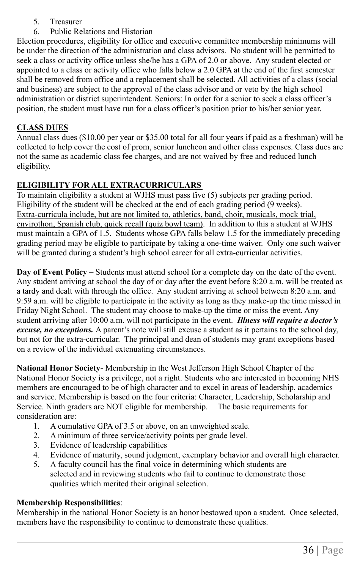- 5. Treasurer
- 6. Public Relations and Historian

Election procedures, eligibility for office and executive committee membership minimums will be under the direction of the administration and class advisors. No student will be permitted to seek a class or activity office unless she/he has a GPA of 2.0 or above. Any student elected or appointed to a class or activity office who falls below a 2.0 GPA at the end of the first semester shall be removed from office and a replacement shall be selected. All activities of a class (social and business) are subject to the approval of the class advisor and or veto by the high school administration or district superintendent. Seniors: In order for a senior to seek a class officer's position, the student must have run for a class officer's position prior to his/her senior year.

#### **CLASS DUES**

Annual class dues (\$10.00 per year or \$35.00 total for all four years if paid as a freshman) will be collected to help cover the cost of prom, senior luncheon and other class expenses. Class dues are not the same as academic class fee charges, and are not waived by free and reduced lunch eligibility.

#### **ELIGIBILITY FOR ALL EXTRACURRICULARS**

To maintain eligibility a student at WJHS must pass five (5) subjects per grading period. Eligibility of the student will be checked at the end of each grading period (9 weeks). Extra-curricula include, but are not limited to, athletics, band, choir, musicals, mock trial, envirothon, Spanish club, quick recall (quiz bowl team). In addition to this a student at WJHS must maintain a GPA of 1.5. Students whose GPA falls below 1.5 for the immediately preceding grading period may be eligible to participate by taking a one-time waiver. Only one such waiver will be granted during a student's high school career for all extra-curricular activities.

**Day of Event Policy –** Students must attend school for a complete day on the date of the event. Any student arriving at school the day of or day after the event before 8:20 a.m. will be treated as a tardy and dealt with through the office. Any student arriving at school between 8:20 a.m. and 9:59 a.m. will be eligible to participate in the activity as long as they make-up the time missed in Friday Night School. The student may choose to make-up the time or miss the event. Any student arriving after 10:00 a.m. will not participate in the event. *Illness will require a doctor's excuse, no exceptions.* A parent's note will still excuse a student as it pertains to the school day, but not for the extra-curricular. The principal and dean of students may grant exceptions based on a review of the individual extenuating circumstances.

**National Honor Society**- Membership in the West Jefferson High School Chapter of the National Honor Society is a privilege, not a right. Students who are interested in becoming NHS members are encouraged to be of high character and to excel in areas of leadership, academics and service. Membership is based on the four criteria: Character, Leadership, Scholarship and Service. Ninth graders are NOT eligible for membership. The basic requirements for consideration are:

- 1. A cumulative GPA of 3.5 or above, on an unweighted scale.
- 2. A minimum of three service/activity points per grade level.
- 3. Evidence of leadership capabilities
- 4. Evidence of maturity, sound judgment, exemplary behavior and overall high character.
- 5. A faculty council has the final voice in determining which students are selected and in reviewing students who fail to continue to demonstrate those qualities which merited their original selection.

#### **Membership Responsibilities**:

Membership in the national Honor Society is an honor bestowed upon a student. Once selected, members have the responsibility to continue to demonstrate these qualities.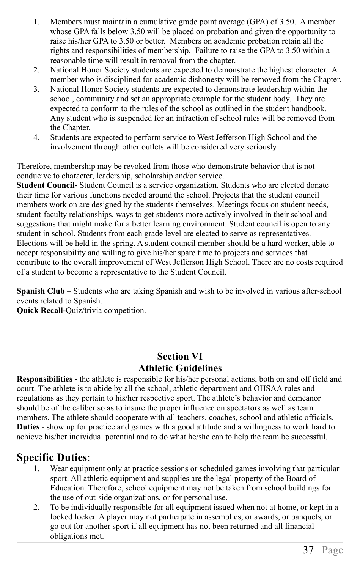- 1. Members must maintain a cumulative grade point average (GPA) of 3.50. A member whose GPA falls below 3.50 will be placed on probation and given the opportunity to raise his/her GPA to 3.50 or better. Members on academic probation retain all the rights and responsibilities of membership. Failure to raise the GPA to 3.50 within a reasonable time will result in removal from the chapter.
- 2. National Honor Society students are expected to demonstrate the highest character. A member who is disciplined for academic dishonesty will be removed from the Chapter.
- 3. National Honor Society students are expected to demonstrate leadership within the school, community and set an appropriate example for the student body. They are expected to conform to the rules of the school as outlined in the student handbook. Any student who is suspended for an infraction of school rules will be removed from the Chapter.
- 4. Students are expected to perform service to West Jefferson High School and the involvement through other outlets will be considered very seriously.

Therefore, membership may be revoked from those who demonstrate behavior that is not conducive to character, leadership, scholarship and/or service.

**Student Council-** Student Council is a service organization. Students who are elected donate their time for various functions needed around the school. Projects that the student council members work on are designed by the students themselves. Meetings focus on student needs, student-faculty relationships, ways to get students more actively involved in their school and suggestions that might make for a better learning environment. Student council is open to any student in school. Students from each grade level are elected to serve as representatives. Elections will be held in the spring. A student council member should be a hard worker, able to accept responsibility and willing to give his/her spare time to projects and services that contribute to the overall improvement of West Jefferson High School. There are no costs required of a student to become a representative to the Student Council.

**Spanish Club –** Students who are taking Spanish and wish to be involved in various after-school events related to Spanish.

**Quick Recall-**Quiz/trivia competition.

#### **Section VI Athletic Guidelines**

**Responsibilities -** the athlete is responsible for his/her personal actions, both on and off field and court. The athlete is to abide by all the school, athletic department and OHSAA rules and regulations as they pertain to his/her respective sport. The athlete's behavior and demeanor should be of the caliber so as to insure the proper influence on spectators as well as team members. The athlete should cooperate with all teachers, coaches, school and athletic officials. **Duties** - show up for practice and games with a good attitude and a willingness to work hard to achieve his/her individual potential and to do what he/she can to help the team be successful.

### **Specific Duties**:

- 1. Wear equipment only at practice sessions or scheduled games involving that particular sport. All athletic equipment and supplies are the legal property of the Board of Education. Therefore, school equipment may not be taken from school buildings for the use of out-side organizations, or for personal use.
- 2. To be individually responsible for all equipment issued when not at home, or kept in a locked locker. A player may not participate in assemblies, or awards, or banquets, or go out for another sport if all equipment has not been returned and all financial obligations met.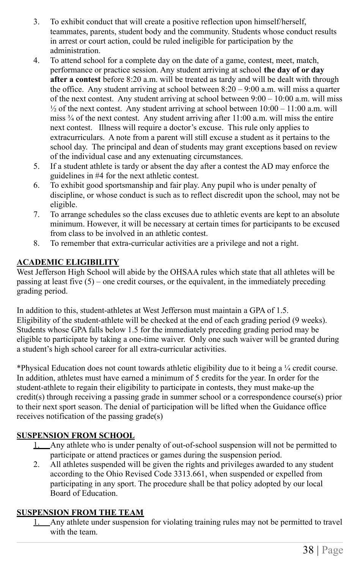- 3. To exhibit conduct that will create a positive reflection upon himself/herself, teammates, parents, student body and the community. Students whose conduct results in arrest or court action, could be ruled ineligible for participation by the administration.
- 4. To attend school for a complete day on the date of a game, contest, meet, match, performance or practice session. Any student arriving at school **the day of or day after a contest** before 8:20 a.m. will be treated as tardy and will be dealt with through the office. Any student arriving at school between  $8:20 - 9:00$  a.m. will miss a quarter of the next contest. Any student arriving at school between  $9:00 - 10:00$  a.m. will miss  $\frac{1}{2}$  of the next contest. Any student arriving at school between 10:00 – 11:00 a.m. will miss  $\frac{3}{4}$  of the next contest. Any student arriving after 11:00 a.m. will miss the entire next contest. Illness will require a doctor's excuse. This rule only applies to extracurriculars. A note from a parent will still excuse a student as it pertains to the school day. The principal and dean of students may grant exceptions based on review of the individual case and any extenuating circumstances.
- 5. If a student athlete is tardy or absent the day after a contest the AD may enforce the guidelines in #4 for the next athletic contest.
- 6. To exhibit good sportsmanship and fair play. Any pupil who is under penalty of discipline, or whose conduct is such as to reflect discredit upon the school, may not be eligible.
- 7. To arrange schedules so the class excuses due to athletic events are kept to an absolute minimum. However, it will be necessary at certain times for participants to be excused from class to be involved in an athletic contest.
- 8. To remember that extra-curricular activities are a privilege and not a right.

#### **ACADEMIC ELIGIBILITY**

West Jefferson High School will abide by the OHSAA rules which state that all athletes will be passing at least five  $(5)$  – one credit courses, or the equivalent, in the immediately preceding grading period.

In addition to this, student-athletes at West Jefferson must maintain a GPA of 1.5. Eligibility of the student-athlete will be checked at the end of each grading period (9 weeks). Students whose GPA falls below 1.5 for the immediately preceding grading period may be eligible to participate by taking a one-time waiver. Only one such waiver will be granted during a student's high school career for all extra-curricular activities.

\*Physical Education does not count towards athletic eligibility due to it being a ¼ credit course. In addition, athletes must have earned a minimum of 5 credits for the year. In order for the student-athlete to regain their eligibility to participate in contests, they must make-up the credit(s) through receiving a passing grade in summer school or a correspondence course(s) prior to their next sport season. The denial of participation will be lifted when the Guidance office receives notification of the passing grade(s)

#### **SUSPENSION FROM SCHOOL**

- 1. Any athlete who is under penalty of out-of-school suspension will not be permitted to participate or attend practices or games during the suspension period.
- 2. All athletes suspended will be given the rights and privileges awarded to any student according to the Ohio Revised Code 3313.661, when suspended or expelled from participating in any sport. The procedure shall be that policy adopted by our local Board of Education.

#### **SUSPENSION FROM THE TEAM**

1. Any athlete under suspension for violating training rules may not be permitted to travel with the team.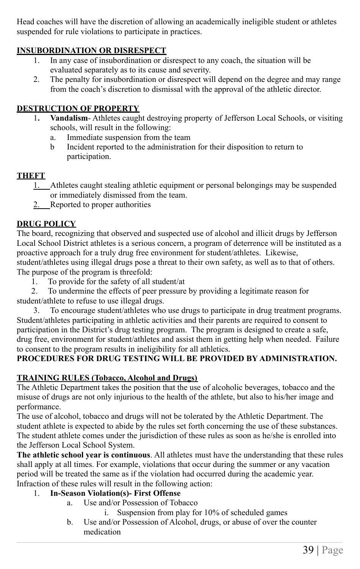Head coaches will have the discretion of allowing an academically ineligible student or athletes suspended for rule violations to participate in practices.

#### **INSUBORDINATION OR DISRESPECT**

- 1. In any case of insubordination or disrespect to any coach, the situation will be evaluated separately as to its cause and severity.
- 2. The penalty for insubordination or disrespect will depend on the degree and may range from the coach's discretion to dismissal with the approval of the athletic director.

#### **DESTRUCTION OF PROPERTY**

- 1**. Vandalism** Athletes caught destroying property of Jefferson Local Schools, or visiting schools, will result in the following:
	- a. Immediate suspension from the team
	- b Incident reported to the administration for their disposition to return to participation.

#### **THEFT**

- 1. Athletes caught stealing athletic equipment or personal belongings may be suspended or immediately dismissed from the team.
- 2. Reported to proper authorities

#### **DRUG POLICY**

The board, recognizing that observed and suspected use of alcohol and illicit drugs by Jefferson Local School District athletes is a serious concern, a program of deterrence will be instituted as a proactive approach for a truly drug free environment for student/athletes. Likewise, student/athletes using illegal drugs pose a threat to their own safety, as well as to that of others. The purpose of the program is threefold:

1. To provide for the safety of all student/at

2. To undermine the effects of peer pressure by providing a legitimate reason for student/athlete to refuse to use illegal drugs.

3. To encourage student/athletes who use drugs to participate in drug treatment programs. Student/athletes participating in athletic activities and their parents are required to consent to participation in the District's drug testing program. The program is designed to create a safe, drug free, environment for student/athletes and assist them in getting help when needed. Failure to consent to the program results in ineligibility for all athletics.

#### **PROCEDURES FOR DRUG TESTING WILL BE PROVIDED BY ADMINISTRATION.**

#### **TRAINING RULES (Tobacco, Alcohol and Drugs)**

The Athletic Department takes the position that the use of alcoholic beverages, tobacco and the misuse of drugs are not only injurious to the health of the athlete, but also to his/her image and performance.

The use of alcohol, tobacco and drugs will not be tolerated by the Athletic Department. The student athlete is expected to abide by the rules set forth concerning the use of these substances. The student athlete comes under the jurisdiction of these rules as soon as he/she is enrolled into the Jefferson Local School System.

**The athletic school year is continuous**. All athletes must have the understanding that these rules shall apply at all times. For example, violations that occur during the summer or any vacation period will be treated the same as if the violation had occurred during the academic year. Infraction of these rules will result in the following action:

#### 1. **In-Season Violation(s)- First Offense**

- a. Use and/or Possession of Tobacco
	- Suspension from play for 10% of scheduled games
- b. Use and/or Possession of Alcohol, drugs, or abuse of over the counter medication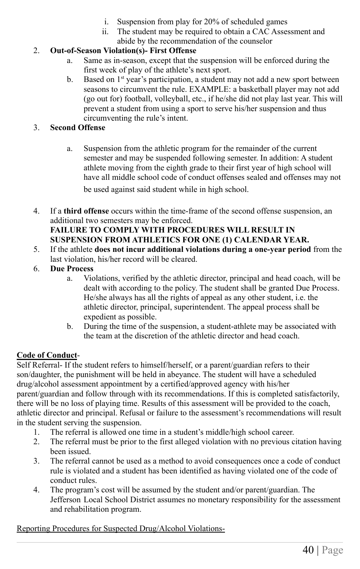- i. Suspension from play for 20% of scheduled games
- ii. The student may be required to obtain a CAC Assessment and abide by the recommendation of the counselor

#### 2. **Out-of-Season Violation(s)- First Offense**

- a. Same as in-season, except that the suspension will be enforced during the first week of play of the athlete's next sport.
- b. Based on  $1^{st}$  year's participation, a student may not add a new sport between seasons to circumvent the rule. EXAMPLE: a basketball player may not add (go out for) football, volleyball, etc., if he/she did not play last year. This will prevent a student from using a sport to serve his/her suspension and thus circumventing the rule's intent.

#### 3. **Second Offense**

a. Suspension from the athletic program for the remainder of the current semester and may be suspended following semester. In addition: A student athlete moving from the eighth grade to their first year of high school will have all middle school code of conduct offenses sealed and offenses may not

be used against said student while in high school.

4. If a **third offense** occurs within the time-frame of the second offense suspension, an additional two semesters may be enforced. **FAILURE TO COMPLY WITH PROCEDURES WILL RESULT IN**

#### **SUSPENSION FROM ATHLETICS FOR ONE (1) CALENDAR YEAR.**

- 5. If the athlete **does not incur additional violations during a one-year period** from the last violation, his/her record will be cleared.
- 6. **Due Process**
	- a. Violations, verified by the athletic director, principal and head coach, will be dealt with according to the policy. The student shall be granted Due Process. He/she always has all the rights of appeal as any other student, i.e. the athletic director, principal, superintendent. The appeal process shall be expedient as possible.
	- b. During the time of the suspension, a student-athlete may be associated with the team at the discretion of the athletic director and head coach.

#### **Code of Conduct**-

Self Referral- If the student refers to himself/herself, or a parent/guardian refers to their son/daughter, the punishment will be held in abeyance. The student will have a scheduled drug/alcohol assessment appointment by a certified/approved agency with his/her parent/guardian and follow through with its recommendations. If this is completed satisfactorily, there will be no loss of playing time. Results of this assessment will be provided to the coach, athletic director and principal. Refusal or failure to the assessment's recommendations will result in the student serving the suspension.

- 1. The referral is allowed one time in a student's middle/high school career.
- 2. The referral must be prior to the first alleged violation with no previous citation having been issued.
- 3. The referral cannot be used as a method to avoid consequences once a code of conduct rule is violated and a student has been identified as having violated one of the code of conduct rules.
- 4. The program's cost will be assumed by the student and/or parent/guardian. The Jefferson Local School District assumes no monetary responsibility for the assessment and rehabilitation program.

#### Reporting Procedures for Suspected Drug/Alcohol Violations-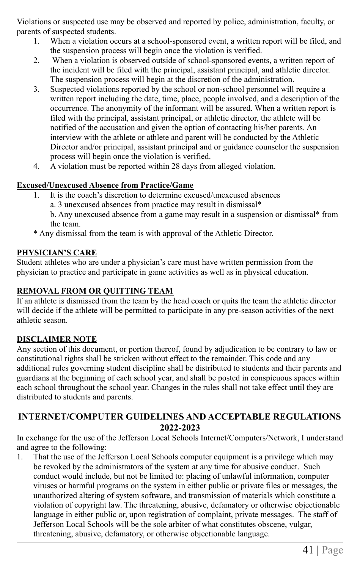Violations or suspected use may be observed and reported by police, administration, faculty, or parents of suspected students.

- 1. When a violation occurs at a school-sponsored event, a written report will be filed, and the suspension process will begin once the violation is verified.
- 2. When a violation is observed outside of school-sponsored events, a written report of the incident will be filed with the principal, assistant principal, and athletic director. The suspension process will begin at the discretion of the administration.
- 3. Suspected violations reported by the school or non-school personnel will require a written report including the date, time, place, people involved, and a description of the occurrence. The anonymity of the informant will be assured. When a written report is filed with the principal, assistant principal, or athletic director, the athlete will be notified of the accusation and given the option of contacting his/her parents. An interview with the athlete or athlete and parent will be conducted by the Athletic Director and/or principal, assistant principal and or guidance counselor the suspension process will begin once the violation is verified.
- 4. A violation must be reported within 28 days from alleged violation.

#### **Excused/Unexcused Absence from Practice/Game**

- 1. It is the coach's discretion to determine excused/unexcused absences
	- a. 3 unexcused absences from practice may result in dismissal\*

b. Any unexcused absence from a game may result in a suspension or dismissal\* from the team.

\* Any dismissal from the team is with approval of the Athletic Director.

#### **PHYSICIAN'S CARE**

Student athletes who are under a physician's care must have written permission from the physician to practice and participate in game activities as well as in physical education.

#### **REMOVAL FROM OR QUITTING TEAM**

If an athlete is dismissed from the team by the head coach or quits the team the athletic director will decide if the athlete will be permitted to participate in any pre-season activities of the next athletic season.

#### **DISCLAIMER NOTE**

Any section of this document, or portion thereof, found by adjudication to be contrary to law or constitutional rights shall be stricken without effect to the remainder. This code and any additional rules governing student discipline shall be distributed to students and their parents and guardians at the beginning of each school year, and shall be posted in conspicuous spaces within each school throughout the school year. Changes in the rules shall not take effect until they are distributed to students and parents.

#### **INTERNET/COMPUTER GUIDELINES AND ACCEPTABLE REGULATIONS 2022-2023**

In exchange for the use of the Jefferson Local Schools Internet/Computers/Network, I understand and agree to the following:

1. That the use of the Jefferson Local Schools computer equipment is a privilege which may be revoked by the administrators of the system at any time for abusive conduct. Such conduct would include, but not be limited to: placing of unlawful information, computer viruses or harmful programs on the system in either public or private files or messages, the unauthorized altering of system software, and transmission of materials which constitute a violation of copyright law. The threatening, abusive, defamatory or otherwise objectionable language in either public or, upon registration of complaint, private messages. The staff of Jefferson Local Schools will be the sole arbiter of what constitutes obscene, vulgar, threatening, abusive, defamatory, or otherwise objectionable language.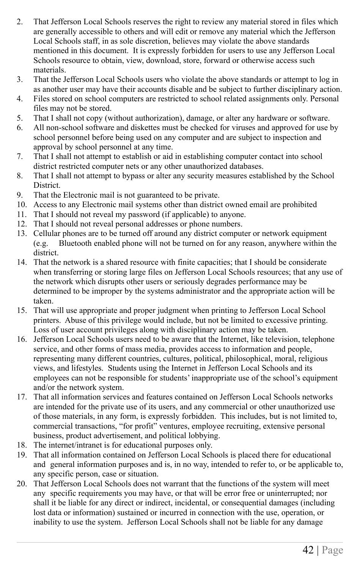- 2. That Jefferson Local Schools reserves the right to review any material stored in files which are generally accessible to others and will edit or remove any material which the Jefferson Local Schools staff, in as sole discretion, believes may violate the above standards mentioned in this document. It is expressly forbidden for users to use any Jefferson Local Schools resource to obtain, view, download, store, forward or otherwise access such materials.
- 3. That the Jefferson Local Schools users who violate the above standards or attempt to log in as another user may have their accounts disable and be subject to further disciplinary action.
- 4. Files stored on school computers are restricted to school related assignments only. Personal files may not be stored.
- 5. That I shall not copy (without authorization), damage, or alter any hardware or software.
- 6. All non-school software and diskettes must be checked for viruses and approved for use by school personnel before being used on any computer and are subject to inspection and approval by school personnel at any time.
- 7. That I shall not attempt to establish or aid in establishing computer contact into school district restricted computer nets or any other unauthorized databases.
- 8. That I shall not attempt to bypass or alter any security measures established by the School District.
- 9. That the Electronic mail is not guaranteed to be private.
- 10. Access to any Electronic mail systems other than district owned email are prohibited
- 11. That I should not reveal my password (if applicable) to anyone.
- 12. That I should not reveal personal addresses or phone numbers.
- 13. Cellular phones are to be turned off around any district computer or network equipment (e.g. Bluetooth enabled phone will not be turned on for any reason, anywhere within the district.
- 14. That the network is a shared resource with finite capacities; that I should be considerate when transferring or storing large files on Jefferson Local Schools resources; that any use of the network which disrupts other users or seriously degrades performance may be determined to be improper by the systems administrator and the appropriate action will be taken.
- 15. That will use appropriate and proper judgment when printing to Jefferson Local School printers. Abuse of this privilege would include, but not be limited to excessive printing. Loss of user account privileges along with disciplinary action may be taken.
- 16. Jefferson Local Schools users need to be aware that the Internet, like television, telephone service, and other forms of mass media, provides access to information and people, representing many different countries, cultures, political, philosophical, moral, religious views, and lifestyles. Students using the Internet in Jefferson Local Schools and its employees can not be responsible for students' inappropriate use of the school's equipment and/or the network system.
- 17. That all information services and features contained on Jefferson Local Schools networks are intended for the private use of its users, and any commercial or other unauthorized use of those materials, in any form, is expressly forbidden. This includes, but is not limited to, commercial transactions, "for profit" ventures, employee recruiting, extensive personal business, product advertisement, and political lobbying.
- 18. The internet/intranet is for educational purposes only.
- 19. That all information contained on Jefferson Local Schools is placed there for educational and general information purposes and is, in no way, intended to refer to, or be applicable to, any specific person, case or situation.
- 20. That Jefferson Local Schools does not warrant that the functions of the system will meet any specific requirements you may have, or that will be error free or uninterrupted; nor shall it be liable for any direct or indirect, incidental, or consequential damages (including lost data or information) sustained or incurred in connection with the use, operation, or inability to use the system. Jefferson Local Schools shall not be liable for any damage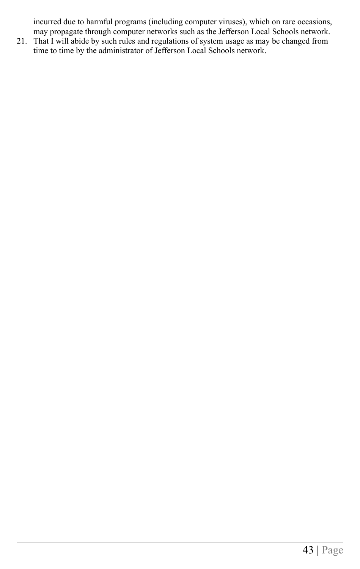incurred due to harmful programs (including computer viruses), which on rare occasions, may propagate through computer networks such as the Jefferson Local Schools network.

21. That I will abide by such rules and regulations of system usage as may be changed from time to time by the administrator of Jefferson Local Schools network.